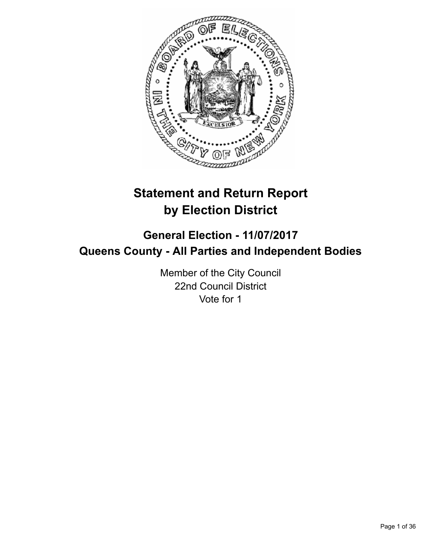

# **Statement and Return Report by Election District**

# **General Election - 11/07/2017 Queens County - All Parties and Independent Bodies**

Member of the City Council 22nd Council District Vote for 1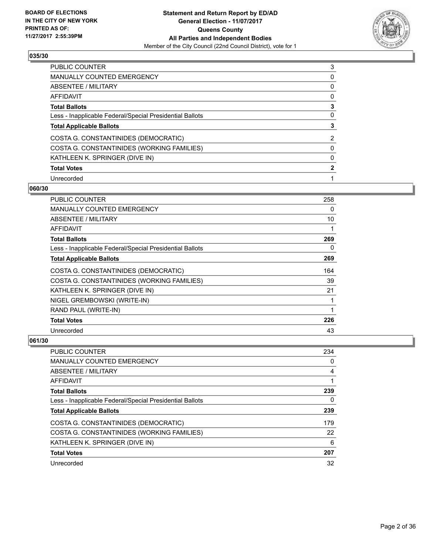

| <b>PUBLIC COUNTER</b>                                    | 3 |
|----------------------------------------------------------|---|
| <b>MANUALLY COUNTED EMERGENCY</b>                        | 0 |
| ABSENTEE / MILITARY                                      | 0 |
| AFFIDAVIT                                                | 0 |
| <b>Total Ballots</b>                                     | 3 |
| Less - Inapplicable Federal/Special Presidential Ballots | 0 |
| <b>Total Applicable Ballots</b>                          |   |
| COSTA G. CONSTANTINIDES (DEMOCRATIC)                     | 2 |
| COSTA G. CONSTANTINIDES (WORKING FAMILIES)               | 0 |
| KATHLEEN K. SPRINGER (DIVE IN)                           | 0 |
| <b>Total Votes</b>                                       | 2 |
| Unrecorded                                               |   |

#### **060/30**

| PUBLIC COUNTER                                           | 258 |
|----------------------------------------------------------|-----|
| <b>MANUALLY COUNTED EMERGENCY</b>                        | 0   |
| ABSENTEE / MILITARY                                      | 10  |
| AFFIDAVIT                                                | 1   |
| <b>Total Ballots</b>                                     | 269 |
| Less - Inapplicable Federal/Special Presidential Ballots | 0   |
| <b>Total Applicable Ballots</b>                          | 269 |
| COSTA G. CONSTANTINIDES (DEMOCRATIC)                     | 164 |
| COSTA G. CONSTANTINIDES (WORKING FAMILIES)               | 39  |
| KATHLEEN K. SPRINGER (DIVE IN)                           | 21  |
| NIGEL GREMBOWSKI (WRITE-IN)                              | 1   |
| RAND PAUL (WRITE-IN)                                     | 1   |
| <b>Total Votes</b>                                       | 226 |
| Unrecorded                                               | 43  |

| <b>PUBLIC COUNTER</b>                                    | 234 |
|----------------------------------------------------------|-----|
| <b>MANUALLY COUNTED EMERGENCY</b>                        | 0   |
| ABSENTEE / MILITARY                                      | 4   |
| AFFIDAVIT                                                |     |
| <b>Total Ballots</b>                                     | 239 |
| Less - Inapplicable Federal/Special Presidential Ballots | 0   |
| <b>Total Applicable Ballots</b>                          | 239 |
| COSTA G. CONSTANTINIDES (DEMOCRATIC)                     | 179 |
| COSTA G. CONSTANTINIDES (WORKING FAMILIES)               | 22  |
| KATHLEEN K. SPRINGER (DIVE IN)                           | 6   |
| <b>Total Votes</b>                                       | 207 |
| Unrecorded                                               | 32  |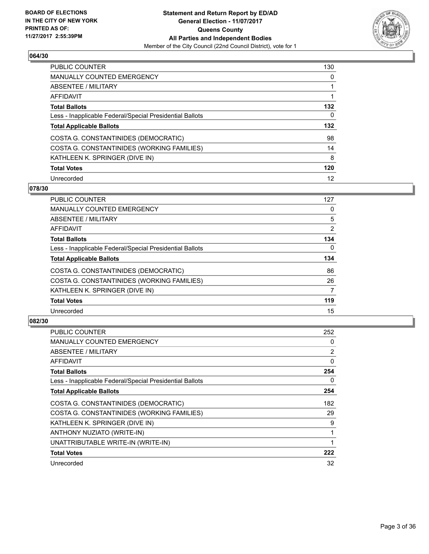

| <b>PUBLIC COUNTER</b>                                    | 130 |
|----------------------------------------------------------|-----|
| <b>MANUALLY COUNTED EMERGENCY</b>                        | 0   |
| ABSENTEE / MILITARY                                      |     |
| AFFIDAVIT                                                |     |
| <b>Total Ballots</b>                                     | 132 |
| Less - Inapplicable Federal/Special Presidential Ballots | 0   |
| <b>Total Applicable Ballots</b>                          | 132 |
|                                                          |     |
| COSTA G. CONSTANTINIDES (DEMOCRATIC)                     | 98  |
| COSTA G. CONSTANTINIDES (WORKING FAMILIES)               | 14  |
| KATHLEEN K. SPRINGER (DIVE IN)                           | 8   |
| <b>Total Votes</b>                                       | 120 |

#### **078/30**

| <b>PUBLIC COUNTER</b>                                    | 127            |
|----------------------------------------------------------|----------------|
| <b>MANUALLY COUNTED EMERGENCY</b>                        | 0              |
| ABSENTEE / MILITARY                                      | 5              |
| <b>AFFIDAVIT</b>                                         | $\overline{2}$ |
| <b>Total Ballots</b>                                     | 134            |
| Less - Inapplicable Federal/Special Presidential Ballots | $\Omega$       |
| <b>Total Applicable Ballots</b>                          | 134            |
| COSTA G. CONSTANTINIDES (DEMOCRATIC)                     | 86             |
| COSTA G. CONSTANTINIDES (WORKING FAMILIES)               | 26             |
| KATHLEEN K. SPRINGER (DIVE IN)                           | 7              |
| <b>Total Votes</b>                                       | 119            |
| Unrecorded                                               | 15             |

| <b>PUBLIC COUNTER</b>                                    | 252 |
|----------------------------------------------------------|-----|
| MANUALLY COUNTED EMERGENCY                               | 0   |
| ABSENTEE / MILITARY                                      | 2   |
| AFFIDAVIT                                                | 0   |
| <b>Total Ballots</b>                                     | 254 |
| Less - Inapplicable Federal/Special Presidential Ballots | 0   |
| <b>Total Applicable Ballots</b>                          | 254 |
| COSTA G. CONSTANTINIDES (DEMOCRATIC)                     | 182 |
| COSTA G. CONSTANTINIDES (WORKING FAMILIES)               | 29  |
| KATHLEEN K. SPRINGER (DIVE IN)                           | 9   |
| ANTHONY NUZIATO (WRITE-IN)                               |     |
| UNATTRIBUTABLE WRITE-IN (WRITE-IN)                       | 1   |
| <b>Total Votes</b>                                       | 222 |
| Unrecorded                                               | 32  |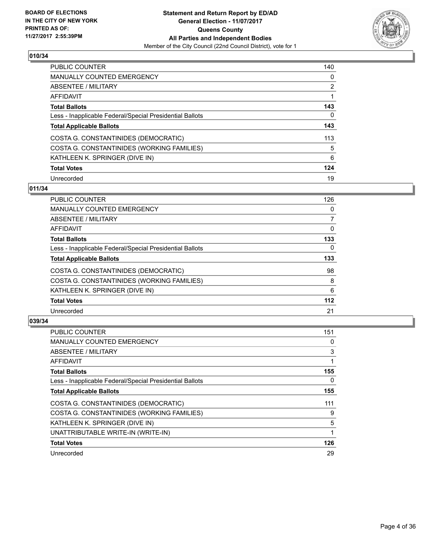

| PUBLIC COUNTER                                           | 140 |
|----------------------------------------------------------|-----|
| <b>MANUALLY COUNTED EMERGENCY</b>                        | 0   |
| ABSENTEE / MILITARY                                      | 2   |
| AFFIDAVIT                                                |     |
| <b>Total Ballots</b>                                     | 143 |
| Less - Inapplicable Federal/Special Presidential Ballots | 0   |
| <b>Total Applicable Ballots</b>                          | 143 |
| COSTA G. CONSTANTINIDES (DEMOCRATIC)                     | 113 |
| COSTA G. CONSTANTINIDES (WORKING FAMILIES)               | 5   |
| KATHLEEN K. SPRINGER (DIVE IN)                           | 6   |
| <b>Total Votes</b>                                       | 124 |
| Unrecorded                                               | 19  |

## **011/34**

| <b>PUBLIC COUNTER</b>                                    | 126   |
|----------------------------------------------------------|-------|
| <b>MANUALLY COUNTED EMERGENCY</b>                        | 0     |
| ABSENTEE / MILITARY                                      | 7     |
| <b>AFFIDAVIT</b>                                         | 0     |
| <b>Total Ballots</b>                                     | 133   |
| Less - Inapplicable Federal/Special Presidential Ballots | 0     |
| <b>Total Applicable Ballots</b>                          | 133   |
| COSTA G. CONSTANTINIDES (DEMOCRATIC)                     | 98    |
| COSTA G. CONSTANTINIDES (WORKING FAMILIES)               | 8     |
| KATHLEEN K. SPRINGER (DIVE IN)                           | 6     |
| <b>Total Votes</b>                                       | $112$ |
| Unrecorded                                               | 21    |

| <b>PUBLIC COUNTER</b>                                    | 151 |
|----------------------------------------------------------|-----|
| MANUALLY COUNTED EMERGENCY                               | 0   |
| ABSENTEE / MILITARY                                      | 3   |
| AFFIDAVIT                                                | 1   |
| <b>Total Ballots</b>                                     | 155 |
| Less - Inapplicable Federal/Special Presidential Ballots | 0   |
| <b>Total Applicable Ballots</b>                          | 155 |
| COSTA G. CONSTANTINIDES (DEMOCRATIC)                     | 111 |
| COSTA G. CONSTANTINIDES (WORKING FAMILIES)               | 9   |
| KATHLEEN K. SPRINGER (DIVE IN)                           | 5   |
| UNATTRIBUTABLE WRITE-IN (WRITE-IN)                       |     |
| <b>Total Votes</b>                                       | 126 |
| Unrecorded                                               | 29  |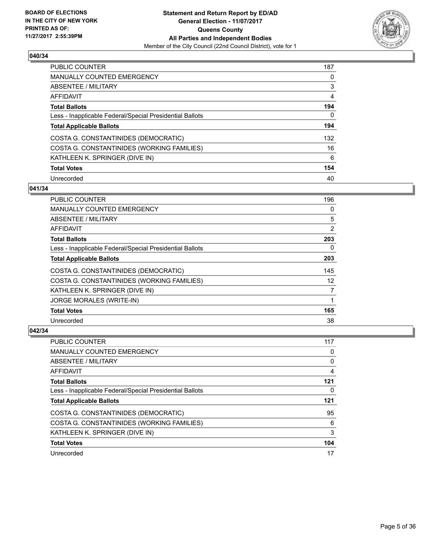

| PUBLIC COUNTER                                           | 187 |
|----------------------------------------------------------|-----|
| <b>MANUALLY COUNTED EMERGENCY</b>                        | 0   |
| ABSENTEE / MILITARY                                      | 3   |
| AFFIDAVIT                                                | 4   |
| <b>Total Ballots</b>                                     | 194 |
| Less - Inapplicable Federal/Special Presidential Ballots | 0   |
| <b>Total Applicable Ballots</b>                          | 194 |
| COSTA G. CONSTANTINIDES (DEMOCRATIC)                     | 132 |
| COSTA G. CONSTANTINIDES (WORKING FAMILIES)               | 16  |
| KATHLEEN K. SPRINGER (DIVE IN)                           | 6   |
| <b>Total Votes</b>                                       | 154 |
| Unrecorded                                               | 40  |

#### **041/34**

| <b>PUBLIC COUNTER</b>                                    | 196 |
|----------------------------------------------------------|-----|
| <b>MANUALLY COUNTED EMERGENCY</b>                        | 0   |
| ABSENTEE / MILITARY                                      | 5   |
| AFFIDAVIT                                                | 2   |
| <b>Total Ballots</b>                                     | 203 |
| Less - Inapplicable Federal/Special Presidential Ballots | 0   |
| <b>Total Applicable Ballots</b>                          | 203 |
| COSTA G. CONSTANTINIDES (DEMOCRATIC)                     | 145 |
| COSTA G. CONSTANTINIDES (WORKING FAMILIES)               | 12  |
| KATHLEEN K. SPRINGER (DIVE IN)                           | 7   |
| <b>JORGE MORALES (WRITE-IN)</b>                          | 1   |
| <b>Total Votes</b>                                       | 165 |
| Unrecorded                                               | 38  |

| PUBLIC COUNTER                                           | 117 |
|----------------------------------------------------------|-----|
| <b>MANUALLY COUNTED EMERGENCY</b>                        | 0   |
| ABSENTEE / MILITARY                                      | 0   |
| AFFIDAVIT                                                | 4   |
| <b>Total Ballots</b>                                     | 121 |
| Less - Inapplicable Federal/Special Presidential Ballots | 0   |
| <b>Total Applicable Ballots</b>                          | 121 |
|                                                          |     |
| COSTA G. CONSTANTINIDES (DEMOCRATIC)                     | 95  |
| COSTA G. CONSTANTINIDES (WORKING FAMILIES)               | 6   |
| KATHLEEN K. SPRINGER (DIVE IN)                           | 3   |
| <b>Total Votes</b>                                       | 104 |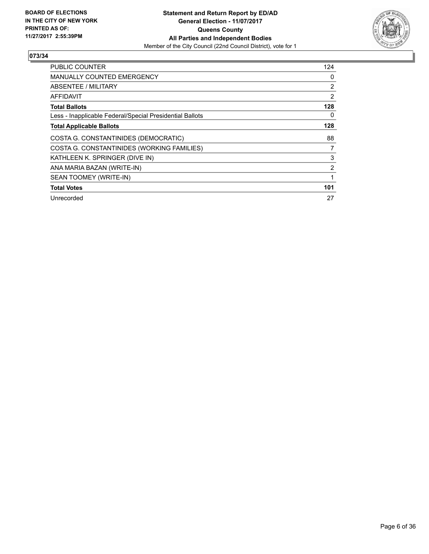

| <b>PUBLIC COUNTER</b>                                    | 124 |
|----------------------------------------------------------|-----|
| <b>MANUALLY COUNTED EMERGENCY</b>                        | 0   |
| ABSENTEE / MILITARY                                      | 2   |
| AFFIDAVIT                                                | 2   |
| <b>Total Ballots</b>                                     | 128 |
| Less - Inapplicable Federal/Special Presidential Ballots | 0   |
| <b>Total Applicable Ballots</b>                          | 128 |
| COSTA G. CONSTANTINIDES (DEMOCRATIC)                     | 88  |
| COSTA G. CONSTANTINIDES (WORKING FAMILIES)               | 7   |
| KATHLEEN K. SPRINGER (DIVE IN)                           | 3   |
| ANA MARIA BAZAN (WRITE-IN)                               | 2   |
| SEAN TOOMEY (WRITE-IN)                                   | 1   |
| <b>Total Votes</b>                                       | 101 |
| Unrecorded                                               | 27  |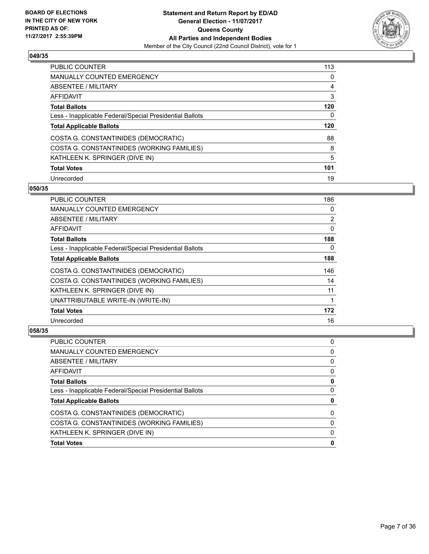

| <b>PUBLIC COUNTER</b>                                    | 113 |
|----------------------------------------------------------|-----|
| <b>MANUALLY COUNTED EMERGENCY</b>                        | 0   |
| ABSENTEE / MILITARY                                      | 4   |
| AFFIDAVIT                                                | 3   |
| <b>Total Ballots</b>                                     | 120 |
| Less - Inapplicable Federal/Special Presidential Ballots | 0   |
| <b>Total Applicable Ballots</b>                          | 120 |
| COSTA G. CONSTANTINIDES (DEMOCRATIC)                     | 88  |
| COSTA G. CONSTANTINIDES (WORKING FAMILIES)               | 8   |
| KATHLEEN K. SPRINGER (DIVE IN)                           | 5   |
| <b>Total Votes</b>                                       | 101 |
| Unrecorded                                               | 19  |

#### **050/35**

| PUBLIC COUNTER                                           | 186 |
|----------------------------------------------------------|-----|
| <b>MANUALLY COUNTED EMERGENCY</b>                        | 0   |
| ABSENTEE / MILITARY                                      | 2   |
| AFFIDAVIT                                                | 0   |
| <b>Total Ballots</b>                                     | 188 |
| Less - Inapplicable Federal/Special Presidential Ballots | 0   |
| <b>Total Applicable Ballots</b>                          | 188 |
| COSTA G. CONSTANTINIDES (DEMOCRATIC)                     | 146 |
| COSTA G. CONSTANTINIDES (WORKING FAMILIES)               | 14  |
| KATHLEEN K. SPRINGER (DIVE IN)                           | 11  |
| UNATTRIBUTABLE WRITE-IN (WRITE-IN)                       | 1   |
| <b>Total Votes</b>                                       | 172 |
| Unrecorded                                               | 16  |

| <b>Total Votes</b>                                       | 0 |
|----------------------------------------------------------|---|
| KATHLEEN K. SPRINGER (DIVE IN)                           | 0 |
| COSTA G. CONSTANTINIDES (WORKING FAMILIES)               | 0 |
| COSTA G. CONSTANTINIDES (DEMOCRATIC)                     | 0 |
| <b>Total Applicable Ballots</b>                          | 0 |
| Less - Inapplicable Federal/Special Presidential Ballots | 0 |
| <b>Total Ballots</b>                                     | 0 |
| <b>AFFIDAVIT</b>                                         | 0 |
| <b>ABSENTEE / MILITARY</b>                               | 0 |
| <b>MANUALLY COUNTED EMERGENCY</b>                        | 0 |
| <b>PUBLIC COUNTER</b>                                    | 0 |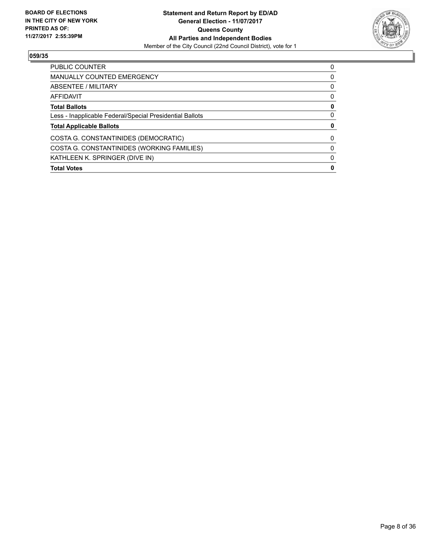

| <b>PUBLIC COUNTER</b>                                    | 0        |
|----------------------------------------------------------|----------|
| <b>MANUALLY COUNTED EMERGENCY</b>                        | 0        |
| ABSENTEE / MILITARY                                      | 0        |
| AFFIDAVIT                                                | $\Omega$ |
| <b>Total Ballots</b>                                     | 0        |
| Less - Inapplicable Federal/Special Presidential Ballots | 0        |
| <b>Total Applicable Ballots</b>                          |          |
| COSTA G. CONSTANTINIDES (DEMOCRATIC)                     | 0        |
| COSTA G. CONSTANTINIDES (WORKING FAMILIES)               | $\Omega$ |
| KATHLEEN K. SPRINGER (DIVE IN)                           |          |
| <b>Total Votes</b>                                       | Ω        |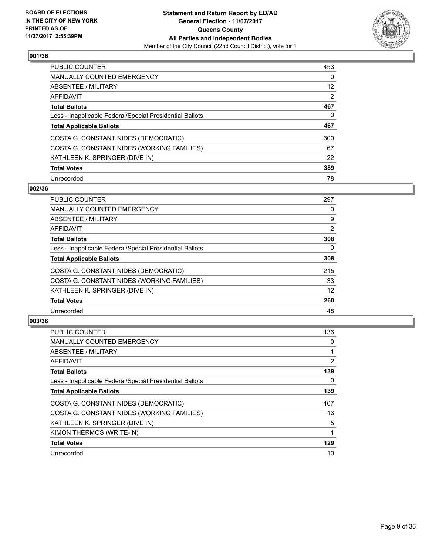

| <b>PUBLIC COUNTER</b>                                    | 453 |
|----------------------------------------------------------|-----|
| <b>MANUALLY COUNTED EMERGENCY</b>                        | 0   |
| ABSENTEE / MILITARY                                      | 12  |
| AFFIDAVIT                                                | 2   |
| <b>Total Ballots</b>                                     | 467 |
| Less - Inapplicable Federal/Special Presidential Ballots | 0   |
| <b>Total Applicable Ballots</b>                          | 467 |
| COSTA G. CONSTANTINIDES (DEMOCRATIC)                     | 300 |
| COSTA G. CONSTANTINIDES (WORKING FAMILIES)               | 67  |
| KATHLEEN K. SPRINGER (DIVE IN)                           | 22  |
| <b>Total Votes</b>                                       | 389 |
| Unrecorded                                               | 78  |

#### **002/36**

| <b>PUBLIC COUNTER</b>                                    | 297      |
|----------------------------------------------------------|----------|
| <b>MANUALLY COUNTED EMERGENCY</b>                        | 0        |
| ABSENTEE / MILITARY                                      | 9        |
| <b>AFFIDAVIT</b>                                         | 2        |
| <b>Total Ballots</b>                                     | 308      |
| Less - Inapplicable Federal/Special Presidential Ballots | $\Omega$ |
| <b>Total Applicable Ballots</b>                          | 308      |
| COSTA G. CONSTANTINIDES (DEMOCRATIC)                     | 215      |
| COSTA G. CONSTANTINIDES (WORKING FAMILIES)               | 33       |
| KATHLEEN K. SPRINGER (DIVE IN)                           | 12       |
| <b>Total Votes</b>                                       | 260      |
| Unrecorded                                               | 48       |

| <b>PUBLIC COUNTER</b>                                    | 136 |
|----------------------------------------------------------|-----|
| MANUALLY COUNTED EMERGENCY                               | 0   |
| ABSENTEE / MILITARY                                      |     |
| AFFIDAVIT                                                | 2   |
| <b>Total Ballots</b>                                     | 139 |
| Less - Inapplicable Federal/Special Presidential Ballots | 0   |
| <b>Total Applicable Ballots</b>                          | 139 |
| COSTA G. CONSTANTINIDES (DEMOCRATIC)                     | 107 |
| COSTA G. CONSTANTINIDES (WORKING FAMILIES)               | 16  |
| KATHLEEN K. SPRINGER (DIVE IN)                           | 5   |
| KIMON THERMOS (WRITE-IN)                                 |     |
| <b>Total Votes</b>                                       | 129 |
| Unrecorded                                               | 10  |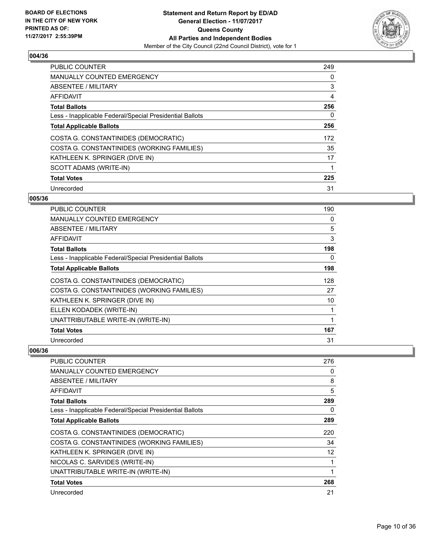

| <b>PUBLIC COUNTER</b>                                    | 249 |
|----------------------------------------------------------|-----|
| <b>MANUALLY COUNTED EMERGENCY</b>                        | 0   |
| ABSENTEE / MILITARY                                      | 3   |
| AFFIDAVIT                                                | 4   |
| <b>Total Ballots</b>                                     | 256 |
| Less - Inapplicable Federal/Special Presidential Ballots | 0   |
| <b>Total Applicable Ballots</b>                          | 256 |
| COSTA G. CONSTANTINIDES (DEMOCRATIC)                     | 172 |
| COSTA G. CONSTANTINIDES (WORKING FAMILIES)               | 35  |
| KATHLEEN K. SPRINGER (DIVE IN)                           | 17  |
| SCOTT ADAMS (WRITE-IN)                                   |     |
| <b>Total Votes</b>                                       | 225 |
| Unrecorded                                               | 31  |

## **005/36**

| <b>PUBLIC COUNTER</b>                                    | 190 |
|----------------------------------------------------------|-----|
| MANUALLY COUNTED EMERGENCY                               | 0   |
| ABSENTEE / MILITARY                                      | 5   |
| AFFIDAVIT                                                | 3   |
| <b>Total Ballots</b>                                     | 198 |
| Less - Inapplicable Federal/Special Presidential Ballots | 0   |
| <b>Total Applicable Ballots</b>                          | 198 |
| COSTA G. CONSTANTINIDES (DEMOCRATIC)                     | 128 |
| COSTA G. CONSTANTINIDES (WORKING FAMILIES)               | 27  |
| KATHLEEN K. SPRINGER (DIVE IN)                           | 10  |
| ELLEN KODADEK (WRITE-IN)                                 | 1   |
| UNATTRIBUTABLE WRITE-IN (WRITE-IN)                       | 1   |
| <b>Total Votes</b>                                       | 167 |
| Unrecorded                                               | 31  |

| PUBLIC COUNTER                                           | 276 |
|----------------------------------------------------------|-----|
| <b>MANUALLY COUNTED EMERGENCY</b>                        | 0   |
| ABSENTEE / MILITARY                                      | 8   |
| AFFIDAVIT                                                | 5   |
| <b>Total Ballots</b>                                     | 289 |
| Less - Inapplicable Federal/Special Presidential Ballots | 0   |
| <b>Total Applicable Ballots</b>                          | 289 |
| COSTA G. CONSTANTINIDES (DEMOCRATIC)                     | 220 |
| COSTA G. CONSTANTINIDES (WORKING FAMILIES)               | 34  |
| KATHLEEN K. SPRINGER (DIVE IN)                           | 12  |
| NICOLAS C. SARVIDES (WRITE-IN)                           |     |
| UNATTRIBUTABLE WRITE-IN (WRITE-IN)                       |     |
| <b>Total Votes</b>                                       | 268 |
| Unrecorded                                               | 21  |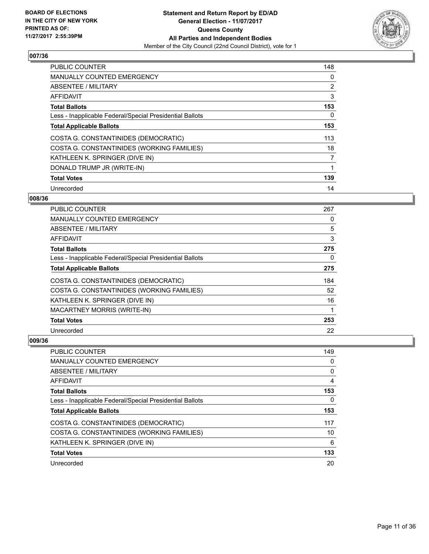

| <b>PUBLIC COUNTER</b>                                    | 148 |
|----------------------------------------------------------|-----|
| <b>MANUALLY COUNTED EMERGENCY</b>                        | 0   |
| ABSENTEE / MILITARY                                      | 2   |
| <b>AFFIDAVIT</b>                                         | 3   |
| <b>Total Ballots</b>                                     | 153 |
| Less - Inapplicable Federal/Special Presidential Ballots | 0   |
| <b>Total Applicable Ballots</b>                          | 153 |
| COSTA G. CONSTANTINIDES (DEMOCRATIC)                     | 113 |
| COSTA G. CONSTANTINIDES (WORKING FAMILIES)               | 18  |
| KATHLEEN K. SPRINGER (DIVE IN)                           | 7   |
| DONALD TRUMP JR (WRITE-IN)                               |     |
| <b>Total Votes</b>                                       | 139 |
| Unrecorded                                               | 14  |

## **008/36**

| <b>PUBLIC COUNTER</b>                                    | 267 |
|----------------------------------------------------------|-----|
| <b>MANUALLY COUNTED EMERGENCY</b>                        | 0   |
| ABSENTEE / MILITARY                                      | 5   |
| AFFIDAVIT                                                | 3   |
| <b>Total Ballots</b>                                     | 275 |
| Less - Inapplicable Federal/Special Presidential Ballots | 0   |
| <b>Total Applicable Ballots</b>                          | 275 |
| COSTA G. CONSTANTINIDES (DEMOCRATIC)                     | 184 |
| COSTA G. CONSTANTINIDES (WORKING FAMILIES)               | 52  |
| KATHLEEN K. SPRINGER (DIVE IN)                           | 16  |
| <b>MACARTNEY MORRIS (WRITE-IN)</b>                       | 1   |
| <b>Total Votes</b>                                       | 253 |
| Unrecorded                                               | 22  |

| <b>PUBLIC COUNTER</b>                                    | 149 |
|----------------------------------------------------------|-----|
| <b>MANUALLY COUNTED EMERGENCY</b>                        | 0   |
| ABSENTEE / MILITARY                                      | 0   |
| AFFIDAVIT                                                | 4   |
| <b>Total Ballots</b>                                     | 153 |
| Less - Inapplicable Federal/Special Presidential Ballots | 0   |
| <b>Total Applicable Ballots</b>                          | 153 |
| COSTA G. CONSTANTINIDES (DEMOCRATIC)                     | 117 |
| COSTA G. CONSTANTINIDES (WORKING FAMILIES)               | 10  |
| KATHLEEN K. SPRINGER (DIVE IN)                           | 6   |
| <b>Total Votes</b>                                       | 133 |
| Unrecorded                                               | 20  |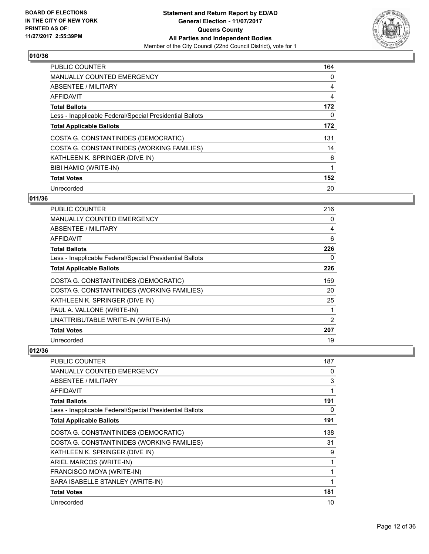

| <b>PUBLIC COUNTER</b>                                    | 164 |
|----------------------------------------------------------|-----|
| MANUALLY COUNTED EMERGENCY                               | 0   |
| ABSENTEE / MILITARY                                      | 4   |
| AFFIDAVIT                                                | 4   |
| <b>Total Ballots</b>                                     | 172 |
| Less - Inapplicable Federal/Special Presidential Ballots | 0   |
| <b>Total Applicable Ballots</b>                          | 172 |
| COSTA G. CONSTANTINIDES (DEMOCRATIC)                     | 131 |
| COSTA G. CONSTANTINIDES (WORKING FAMILIES)               | 14  |
| KATHLEEN K. SPRINGER (DIVE IN)                           | 6   |
| BIBI HAMIO (WRITE-IN)                                    | 1   |
| <b>Total Votes</b>                                       | 152 |
| Unrecorded                                               | 20  |

# **011/36**

| PUBLIC COUNTER                                           | 216 |
|----------------------------------------------------------|-----|
| <b>MANUALLY COUNTED EMERGENCY</b>                        | 0   |
| ABSENTEE / MILITARY                                      | 4   |
| AFFIDAVIT                                                | 6   |
| <b>Total Ballots</b>                                     | 226 |
| Less - Inapplicable Federal/Special Presidential Ballots | 0   |
| <b>Total Applicable Ballots</b>                          | 226 |
| COSTA G. CONSTANTINIDES (DEMOCRATIC)                     | 159 |
| COSTA G. CONSTANTINIDES (WORKING FAMILIES)               | 20  |
| KATHLEEN K. SPRINGER (DIVE IN)                           | 25  |
| PAUL A. VALLONE (WRITE-IN)                               |     |
| UNATTRIBUTABLE WRITE-IN (WRITE-IN)                       | 2   |
| <b>Total Votes</b>                                       | 207 |
| Unrecorded                                               | 19  |

| PUBLIC COUNTER                                           | 187 |
|----------------------------------------------------------|-----|
| <b>MANUALLY COUNTED EMERGENCY</b>                        | 0   |
| ABSENTEE / MILITARY                                      | 3   |
| AFFIDAVIT                                                |     |
| <b>Total Ballots</b>                                     | 191 |
| Less - Inapplicable Federal/Special Presidential Ballots | 0   |
| <b>Total Applicable Ballots</b>                          | 191 |
| COSTA G. CONSTANTINIDES (DEMOCRATIC)                     | 138 |
| COSTA G. CONSTANTINIDES (WORKING FAMILIES)               | 31  |
| KATHLEEN K. SPRINGER (DIVE IN)                           | 9   |
| ARIEL MARCOS (WRITE-IN)                                  |     |
| FRANCISCO MOYA (WRITE-IN)                                |     |
| SARA ISABELLE STANLEY (WRITE-IN)                         | 1   |
| <b>Total Votes</b>                                       | 181 |
| Unrecorded                                               | 10  |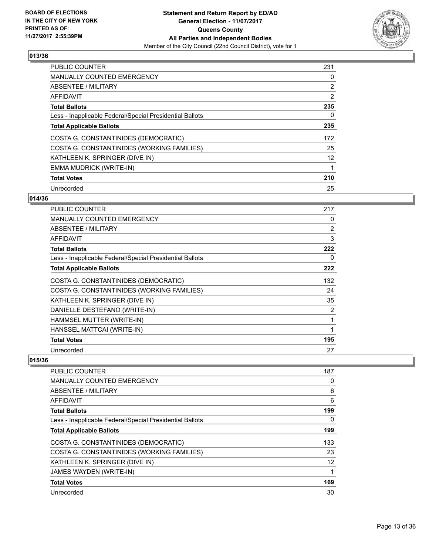

| <b>PUBLIC COUNTER</b>                                    | 231 |
|----------------------------------------------------------|-----|
| <b>MANUALLY COUNTED EMERGENCY</b>                        | 0   |
| ABSENTEE / MILITARY                                      | 2   |
| AFFIDAVIT                                                | 2   |
| <b>Total Ballots</b>                                     | 235 |
| Less - Inapplicable Federal/Special Presidential Ballots | 0   |
| <b>Total Applicable Ballots</b>                          | 235 |
| COSTA G. CONSTANTINIDES (DEMOCRATIC)                     | 172 |
| COSTA G. CONSTANTINIDES (WORKING FAMILIES)               | 25  |
| KATHLEEN K. SPRINGER (DIVE IN)                           | 12  |
| EMMA MUDRICK (WRITE-IN)                                  |     |
| <b>Total Votes</b>                                       | 210 |
| Unrecorded                                               | 25  |

## **014/36**

| <b>PUBLIC COUNTER</b>                                    | 217 |
|----------------------------------------------------------|-----|
| <b>MANUALLY COUNTED EMERGENCY</b>                        | 0   |
| ABSENTEE / MILITARY                                      | 2   |
| AFFIDAVIT                                                | 3   |
| <b>Total Ballots</b>                                     | 222 |
| Less - Inapplicable Federal/Special Presidential Ballots | 0   |
| <b>Total Applicable Ballots</b>                          | 222 |
| COSTA G. CONSTANTINIDES (DEMOCRATIC)                     | 132 |
| COSTA G. CONSTANTINIDES (WORKING FAMILIES)               | 24  |
| KATHLEEN K. SPRINGER (DIVE IN)                           | 35  |
| DANIELLE DESTEFANO (WRITE-IN)                            | 2   |
| HAMMSEL MUTTER (WRITE-IN)                                | 1   |
| HANSSEL MATTCAI (WRITE-IN)                               | 1   |
| <b>Total Votes</b>                                       | 195 |
| Unrecorded                                               | 27  |

| <b>PUBLIC COUNTER</b>                                    | 187 |
|----------------------------------------------------------|-----|
| <b>MANUALLY COUNTED EMERGENCY</b>                        | 0   |
| ABSENTEE / MILITARY                                      | 6   |
| AFFIDAVIT                                                | 6   |
| <b>Total Ballots</b>                                     | 199 |
| Less - Inapplicable Federal/Special Presidential Ballots | 0   |
| <b>Total Applicable Ballots</b>                          | 199 |
| COSTA G. CONSTANTINIDES (DEMOCRATIC)                     | 133 |
| COSTA G. CONSTANTINIDES (WORKING FAMILIES)               | 23  |
| KATHLEEN K. SPRINGER (DIVE IN)                           | 12  |
| JAMES WAYDEN (WRITE-IN)                                  |     |
| <b>Total Votes</b>                                       | 169 |
| Unrecorded                                               | 30  |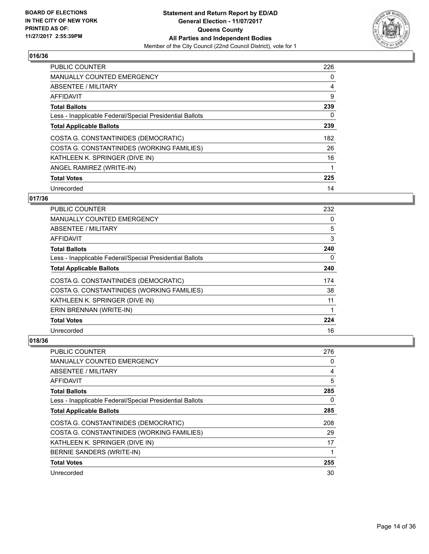

| <b>PUBLIC COUNTER</b>                                    | 226 |
|----------------------------------------------------------|-----|
| MANUALLY COUNTED EMERGENCY                               | 0   |
| ABSENTEE / MILITARY                                      | 4   |
| <b>AFFIDAVIT</b>                                         | 9   |
| <b>Total Ballots</b>                                     | 239 |
| Less - Inapplicable Federal/Special Presidential Ballots | 0   |
| <b>Total Applicable Ballots</b>                          | 239 |
| COSTA G. CONSTANTINIDES (DEMOCRATIC)                     | 182 |
| COSTA G. CONSTANTINIDES (WORKING FAMILIES)               | 26  |
| KATHLEEN K. SPRINGER (DIVE IN)                           | 16  |
| ANGEL RAMIREZ (WRITE-IN)                                 | 1   |
| <b>Total Votes</b>                                       | 225 |
| Unrecorded                                               | 14  |

## **017/36**

| PUBLIC COUNTER                                           | 232 |
|----------------------------------------------------------|-----|
| <b>MANUALLY COUNTED EMERGENCY</b>                        | 0   |
| ABSENTEE / MILITARY                                      | 5   |
| AFFIDAVIT                                                | 3   |
| <b>Total Ballots</b>                                     | 240 |
| Less - Inapplicable Federal/Special Presidential Ballots | 0   |
| <b>Total Applicable Ballots</b>                          | 240 |
| COSTA G. CONSTANTINIDES (DEMOCRATIC)                     | 174 |
| COSTA G. CONSTANTINIDES (WORKING FAMILIES)               | 38  |
| KATHLEEN K. SPRINGER (DIVE IN)                           | 11  |
| ERIN BRENNAN (WRITE-IN)                                  | 1   |
| <b>Total Votes</b>                                       | 224 |
| Unrecorded                                               | 16  |

| <b>PUBLIC COUNTER</b>                                    | 276 |
|----------------------------------------------------------|-----|
| <b>MANUALLY COUNTED EMERGENCY</b>                        | 0   |
| ABSENTEE / MILITARY                                      | 4   |
| AFFIDAVIT                                                | 5   |
| <b>Total Ballots</b>                                     | 285 |
| Less - Inapplicable Federal/Special Presidential Ballots | 0   |
| <b>Total Applicable Ballots</b>                          | 285 |
| COSTA G. CONSTANTINIDES (DEMOCRATIC)                     | 208 |
| COSTA G. CONSTANTINIDES (WORKING FAMILIES)               | 29  |
| KATHLEEN K. SPRINGER (DIVE IN)                           | 17  |
| BERNIE SANDERS (WRITE-IN)                                |     |
| <b>Total Votes</b>                                       | 255 |
| Unrecorded                                               | 30  |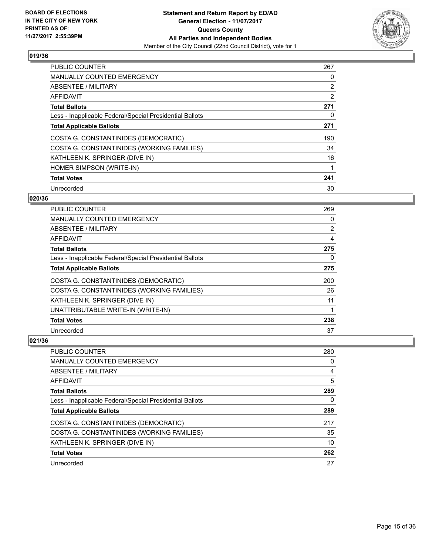

| <b>PUBLIC COUNTER</b>                                    | 267 |
|----------------------------------------------------------|-----|
| <b>MANUALLY COUNTED EMERGENCY</b>                        | 0   |
| ABSENTEE / MILITARY                                      | 2   |
| AFFIDAVIT                                                | 2   |
| <b>Total Ballots</b>                                     | 271 |
| Less - Inapplicable Federal/Special Presidential Ballots | 0   |
| <b>Total Applicable Ballots</b>                          | 271 |
| COSTA G. CONSTANTINIDES (DEMOCRATIC)                     | 190 |
| COSTA G. CONSTANTINIDES (WORKING FAMILIES)               | 34  |
| KATHLEEN K. SPRINGER (DIVE IN)                           | 16  |
| HOMER SIMPSON (WRITE-IN)                                 |     |
| <b>Total Votes</b>                                       | 241 |
| Unrecorded                                               | 30  |

## **020/36**

| <b>PUBLIC COUNTER</b>                                    | 269 |
|----------------------------------------------------------|-----|
| <b>MANUALLY COUNTED EMERGENCY</b>                        | 0   |
| ABSENTEE / MILITARY                                      | 2   |
| AFFIDAVIT                                                | 4   |
| <b>Total Ballots</b>                                     | 275 |
| Less - Inapplicable Federal/Special Presidential Ballots | 0   |
| <b>Total Applicable Ballots</b>                          | 275 |
| COSTA G. CONSTANTINIDES (DEMOCRATIC)                     | 200 |
| COSTA G. CONSTANTINIDES (WORKING FAMILIES)               | 26  |
| KATHLEEN K. SPRINGER (DIVE IN)                           | 11  |
| UNATTRIBUTABLE WRITE-IN (WRITE-IN)                       | 1   |
| <b>Total Votes</b>                                       | 238 |
| Unrecorded                                               | 37  |

| <b>PUBLIC COUNTER</b>                                    | 280 |
|----------------------------------------------------------|-----|
| <b>MANUALLY COUNTED EMERGENCY</b>                        | 0   |
| ABSENTEE / MILITARY                                      | 4   |
| AFFIDAVIT                                                | 5   |
| <b>Total Ballots</b>                                     | 289 |
| Less - Inapplicable Federal/Special Presidential Ballots | 0   |
| <b>Total Applicable Ballots</b>                          | 289 |
| COSTA G. CONSTANTINIDES (DEMOCRATIC)                     | 217 |
| COSTA G. CONSTANTINIDES (WORKING FAMILIES)               | 35  |
| KATHLEEN K. SPRINGER (DIVE IN)                           | 10  |
| <b>Total Votes</b>                                       | 262 |
| Unrecorded                                               | 27  |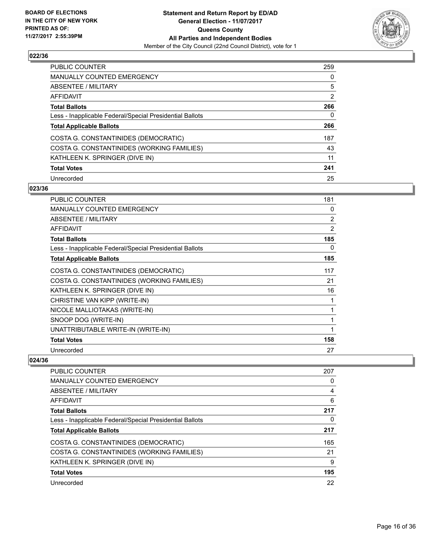

| <b>PUBLIC COUNTER</b>                                    | 259 |
|----------------------------------------------------------|-----|
| <b>MANUALLY COUNTED EMERGENCY</b>                        | 0   |
| ABSENTEE / MILITARY                                      | 5   |
| AFFIDAVIT                                                | 2   |
| <b>Total Ballots</b>                                     | 266 |
| Less - Inapplicable Federal/Special Presidential Ballots | 0   |
| <b>Total Applicable Ballots</b>                          | 266 |
| COSTA G. CONSTANTINIDES (DEMOCRATIC)                     | 187 |
| COSTA G. CONSTANTINIDES (WORKING FAMILIES)               | 43  |
| KATHLEEN K. SPRINGER (DIVE IN)                           | 11  |
| <b>Total Votes</b>                                       | 241 |
| Unrecorded                                               | 25  |

#### **023/36**

| <b>PUBLIC COUNTER</b>                                    | 181 |
|----------------------------------------------------------|-----|
| <b>MANUALLY COUNTED EMERGENCY</b>                        | 0   |
| ABSENTEE / MILITARY                                      | 2   |
| <b>AFFIDAVIT</b>                                         | 2   |
| <b>Total Ballots</b>                                     | 185 |
| Less - Inapplicable Federal/Special Presidential Ballots | 0   |
| <b>Total Applicable Ballots</b>                          | 185 |
| COSTA G. CONSTANTINIDES (DEMOCRATIC)                     | 117 |
| COSTA G. CONSTANTINIDES (WORKING FAMILIES)               | 21  |
| KATHLEEN K. SPRINGER (DIVE IN)                           | 16  |
| CHRISTINE VAN KIPP (WRITE-IN)                            | 1   |
| NICOLE MALLIOTAKAS (WRITE-IN)                            | 1   |
| SNOOP DOG (WRITE-IN)                                     | 1   |
| UNATTRIBUTABLE WRITE-IN (WRITE-IN)                       | 1   |
| <b>Total Votes</b>                                       | 158 |
| Unrecorded                                               | 27  |

| <b>PUBLIC COUNTER</b>                                    | 207 |
|----------------------------------------------------------|-----|
| MANUALLY COUNTED EMERGENCY                               | 0   |
| ABSENTEE / MILITARY                                      | 4   |
| AFFIDAVIT                                                | 6   |
| <b>Total Ballots</b>                                     | 217 |
| Less - Inapplicable Federal/Special Presidential Ballots | 0   |
| <b>Total Applicable Ballots</b>                          | 217 |
| COSTA G. CONSTANTINIDES (DEMOCRATIC)                     | 165 |
| COSTA G. CONSTANTINIDES (WORKING FAMILIES)               | 21  |
| KATHLEEN K. SPRINGER (DIVE IN)                           | 9   |
| <b>Total Votes</b>                                       | 195 |
| Unrecorded                                               | 22  |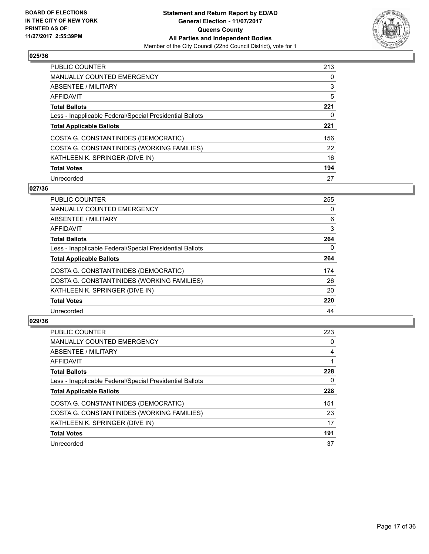

| <b>PUBLIC COUNTER</b>                                    | 213 |
|----------------------------------------------------------|-----|
| <b>MANUALLY COUNTED EMERGENCY</b>                        | 0   |
| ABSENTEE / MILITARY                                      | 3   |
| AFFIDAVIT                                                | 5   |
| <b>Total Ballots</b>                                     | 221 |
| Less - Inapplicable Federal/Special Presidential Ballots | 0   |
| <b>Total Applicable Ballots</b>                          | 221 |
| COSTA G. CONSTANTINIDES (DEMOCRATIC)                     | 156 |
| COSTA G. CONSTANTINIDES (WORKING FAMILIES)               | 22  |
| KATHLEEN K. SPRINGER (DIVE IN)                           | 16  |
| <b>Total Votes</b>                                       | 194 |
| Unrecorded                                               | 27  |

#### **027/36**

| <b>PUBLIC COUNTER</b>                                    | 255 |
|----------------------------------------------------------|-----|
| <b>MANUALLY COUNTED EMERGENCY</b>                        | 0   |
| ABSENTEE / MILITARY                                      | 6   |
| <b>AFFIDAVIT</b>                                         | 3   |
| <b>Total Ballots</b>                                     | 264 |
| Less - Inapplicable Federal/Special Presidential Ballots | 0   |
| <b>Total Applicable Ballots</b>                          | 264 |
| COSTA G. CONSTANTINIDES (DEMOCRATIC)                     | 174 |
| COSTA G. CONSTANTINIDES (WORKING FAMILIES)               | 26  |
| KATHLEEN K. SPRINGER (DIVE IN)                           | 20  |
| <b>Total Votes</b>                                       | 220 |
| Unrecorded                                               | 44  |

| <b>PUBLIC COUNTER</b>                                    | 223 |
|----------------------------------------------------------|-----|
| <b>MANUALLY COUNTED EMERGENCY</b>                        | 0   |
| ABSENTEE / MILITARY                                      | 4   |
| AFFIDAVIT                                                |     |
| <b>Total Ballots</b>                                     | 228 |
| Less - Inapplicable Federal/Special Presidential Ballots | 0   |
| <b>Total Applicable Ballots</b>                          | 228 |
| COSTA G. CONSTANTINIDES (DEMOCRATIC)                     | 151 |
| COSTA G. CONSTANTINIDES (WORKING FAMILIES)               | 23  |
| KATHLEEN K. SPRINGER (DIVE IN)                           | 17  |
| <b>Total Votes</b>                                       | 191 |
| Unrecorded                                               | 37  |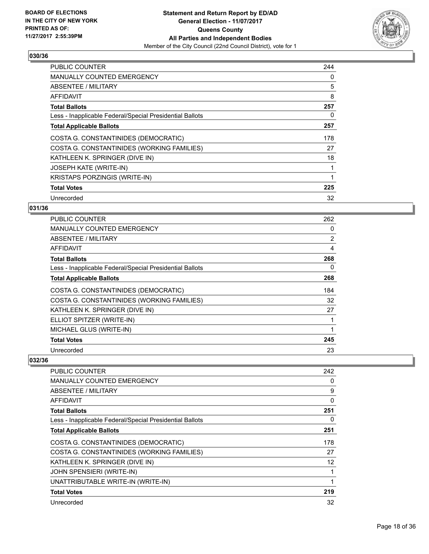

| <b>PUBLIC COUNTER</b>                                    | 244 |
|----------------------------------------------------------|-----|
| <b>MANUALLY COUNTED EMERGENCY</b>                        | 0   |
| ABSENTEE / MILITARY                                      | 5   |
| AFFIDAVIT                                                | 8   |
| <b>Total Ballots</b>                                     | 257 |
| Less - Inapplicable Federal/Special Presidential Ballots | 0   |
| <b>Total Applicable Ballots</b>                          | 257 |
| COSTA G. CONSTANTINIDES (DEMOCRATIC)                     | 178 |
| COSTA G. CONSTANTINIDES (WORKING FAMILIES)               | 27  |
| KATHLEEN K. SPRINGER (DIVE IN)                           | 18  |
| <b>JOSEPH KATE (WRITE-IN)</b>                            | 1   |
| <b>KRISTAPS PORZINGIS (WRITE-IN)</b>                     | 1   |
| <b>Total Votes</b>                                       | 225 |
| Unrecorded                                               | 32  |

## **031/36**

| <b>PUBLIC COUNTER</b>                                    | 262            |
|----------------------------------------------------------|----------------|
| <b>MANUALLY COUNTED EMERGENCY</b>                        | 0              |
| ABSENTEE / MILITARY                                      | $\overline{2}$ |
| AFFIDAVIT                                                | 4              |
| <b>Total Ballots</b>                                     | 268            |
| Less - Inapplicable Federal/Special Presidential Ballots | 0              |
| <b>Total Applicable Ballots</b>                          | 268            |
| COSTA G. CONSTANTINIDES (DEMOCRATIC)                     | 184            |
| COSTA G. CONSTANTINIDES (WORKING FAMILIES)               | 32             |
| KATHLEEN K. SPRINGER (DIVE IN)                           | 27             |
| ELLIOT SPITZER (WRITE-IN)                                |                |
| MICHAEL GLUS (WRITE-IN)                                  |                |
| <b>Total Votes</b>                                       | 245            |
| Unrecorded                                               | 23             |

| <b>PUBLIC COUNTER</b>                                    | 242 |
|----------------------------------------------------------|-----|
| <b>MANUALLY COUNTED EMERGENCY</b>                        | 0   |
| <b>ABSENTEE / MILITARY</b>                               | 9   |
| <b>AFFIDAVIT</b>                                         | 0   |
| <b>Total Ballots</b>                                     | 251 |
| Less - Inapplicable Federal/Special Presidential Ballots | 0   |
| <b>Total Applicable Ballots</b>                          | 251 |
| COSTA G. CONSTANTINIDES (DEMOCRATIC)                     | 178 |
| COSTA G. CONSTANTINIDES (WORKING FAMILIES)               | 27  |
| KATHLEEN K. SPRINGER (DIVE IN)                           | 12  |
| <b>JOHN SPENSIERI (WRITE-IN)</b>                         |     |
| UNATTRIBUTABLE WRITE-IN (WRITE-IN)                       |     |
| <b>Total Votes</b>                                       | 219 |
| Unrecorded                                               | 32  |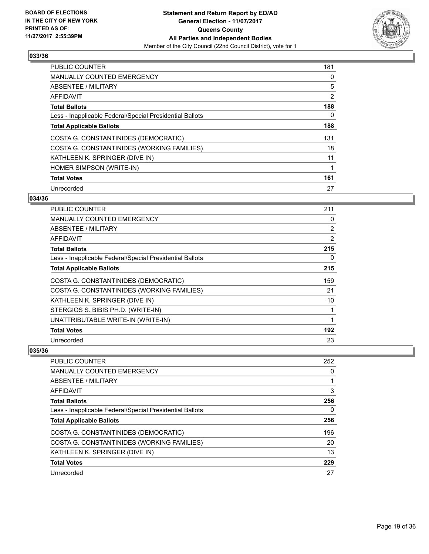

| <b>PUBLIC COUNTER</b>                                    | 181 |
|----------------------------------------------------------|-----|
| <b>MANUALLY COUNTED EMERGENCY</b>                        | 0   |
| ABSENTEE / MILITARY                                      | 5   |
| AFFIDAVIT                                                | 2   |
| <b>Total Ballots</b>                                     | 188 |
| Less - Inapplicable Federal/Special Presidential Ballots | 0   |
| <b>Total Applicable Ballots</b>                          | 188 |
| COSTA G. CONSTANTINIDES (DEMOCRATIC)                     | 131 |
| COSTA G. CONSTANTINIDES (WORKING FAMILIES)               | 18  |
| KATHLEEN K. SPRINGER (DIVE IN)                           | 11  |
| HOMER SIMPSON (WRITE-IN)                                 | 1   |
| <b>Total Votes</b>                                       | 161 |
| Unrecorded                                               | 27  |

## **034/36**

| PUBLIC COUNTER                                           | 211 |
|----------------------------------------------------------|-----|
| MANUALLY COUNTED EMERGENCY                               | 0   |
| ABSENTEE / MILITARY                                      | 2   |
| AFFIDAVIT                                                | 2   |
| <b>Total Ballots</b>                                     | 215 |
| Less - Inapplicable Federal/Special Presidential Ballots | 0   |
| <b>Total Applicable Ballots</b>                          | 215 |
| COSTA G. CONSTANTINIDES (DEMOCRATIC)                     | 159 |
| COSTA G. CONSTANTINIDES (WORKING FAMILIES)               | 21  |
| KATHLEEN K. SPRINGER (DIVE IN)                           | 10  |
| STERGIOS S. BIBIS PH.D. (WRITE-IN)                       | 1   |
| UNATTRIBUTABLE WRITE-IN (WRITE-IN)                       | 1   |
| <b>Total Votes</b>                                       | 192 |
| Unrecorded                                               | 23  |

| <b>PUBLIC COUNTER</b>                                    | 252 |
|----------------------------------------------------------|-----|
| MANUALLY COUNTED EMERGENCY                               | 0   |
| ABSENTEE / MILITARY                                      |     |
| AFFIDAVIT                                                | 3   |
| <b>Total Ballots</b>                                     | 256 |
| Less - Inapplicable Federal/Special Presidential Ballots | 0   |
| <b>Total Applicable Ballots</b>                          | 256 |
| COSTA G. CONSTANTINIDES (DEMOCRATIC)                     | 196 |
| COSTA G. CONSTANTINIDES (WORKING FAMILIES)               | 20  |
| KATHLEEN K. SPRINGER (DIVE IN)                           | 13  |
| <b>Total Votes</b>                                       | 229 |
| Unrecorded                                               | 27  |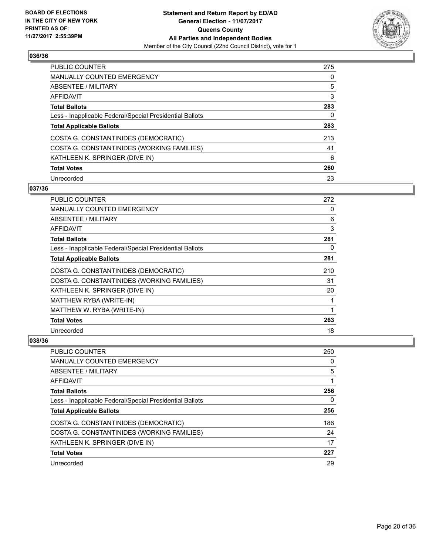

| <b>PUBLIC COUNTER</b>                                    | 275 |
|----------------------------------------------------------|-----|
| <b>MANUALLY COUNTED EMERGENCY</b>                        | 0   |
| ABSENTEE / MILITARY                                      | 5   |
| AFFIDAVIT                                                | 3   |
| <b>Total Ballots</b>                                     | 283 |
| Less - Inapplicable Federal/Special Presidential Ballots | 0   |
| <b>Total Applicable Ballots</b>                          | 283 |
| COSTA G. CONSTANTINIDES (DEMOCRATIC)                     | 213 |
| COSTA G. CONSTANTINIDES (WORKING FAMILIES)               | 41  |
| KATHLEEN K. SPRINGER (DIVE IN)                           | 6   |
| <b>Total Votes</b>                                       | 260 |
| Unrecorded                                               | 23  |

#### **037/36**

| PUBLIC COUNTER                                           | 272 |
|----------------------------------------------------------|-----|
| <b>MANUALLY COUNTED EMERGENCY</b>                        | 0   |
| ABSENTEE / MILITARY                                      | 6   |
| AFFIDAVIT                                                | 3   |
| <b>Total Ballots</b>                                     | 281 |
| Less - Inapplicable Federal/Special Presidential Ballots | 0   |
| <b>Total Applicable Ballots</b>                          | 281 |
| COSTA G. CONSTANTINIDES (DEMOCRATIC)                     | 210 |
| COSTA G. CONSTANTINIDES (WORKING FAMILIES)               | 31  |
| KATHLEEN K. SPRINGER (DIVE IN)                           | 20  |
| MATTHEW RYBA (WRITE-IN)                                  |     |
| MATTHEW W. RYBA (WRITE-IN)                               | 1   |
| <b>Total Votes</b>                                       | 263 |
| Unrecorded                                               | 18  |

| <b>PUBLIC COUNTER</b>                                    | 250 |
|----------------------------------------------------------|-----|
| <b>MANUALLY COUNTED EMERGENCY</b>                        | 0   |
| ABSENTEE / MILITARY                                      | 5   |
| AFFIDAVIT                                                |     |
| <b>Total Ballots</b>                                     | 256 |
| Less - Inapplicable Federal/Special Presidential Ballots | 0   |
| <b>Total Applicable Ballots</b>                          | 256 |
| COSTA G. CONSTANTINIDES (DEMOCRATIC)                     | 186 |
| COSTA G. CONSTANTINIDES (WORKING FAMILIES)               | 24  |
| KATHLEEN K. SPRINGER (DIVE IN)                           | 17  |
| <b>Total Votes</b>                                       | 227 |
| Unrecorded                                               | 29  |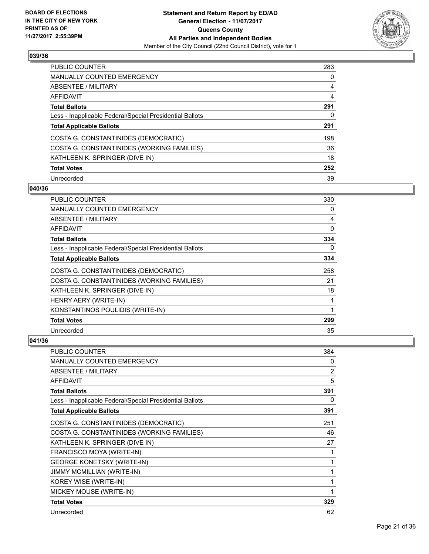

| <b>PUBLIC COUNTER</b>                                    | 283 |
|----------------------------------------------------------|-----|
| <b>MANUALLY COUNTED EMERGENCY</b>                        | 0   |
| ABSENTEE / MILITARY                                      | 4   |
| AFFIDAVIT                                                | 4   |
| <b>Total Ballots</b>                                     | 291 |
| Less - Inapplicable Federal/Special Presidential Ballots | 0   |
| <b>Total Applicable Ballots</b>                          | 291 |
| COSTA G. CONSTANTINIDES (DEMOCRATIC)                     | 198 |
| COSTA G. CONSTANTINIDES (WORKING FAMILIES)               | 36  |
| KATHLEEN K. SPRINGER (DIVE IN)                           | 18  |
| <b>Total Votes</b>                                       | 252 |
| Unrecorded                                               | 39  |

#### **040/36**

| PUBLIC COUNTER                                           | 330         |
|----------------------------------------------------------|-------------|
| <b>MANUALLY COUNTED EMERGENCY</b>                        | 0           |
| ABSENTEE / MILITARY                                      | 4           |
| AFFIDAVIT                                                | $\mathbf 0$ |
| <b>Total Ballots</b>                                     | 334         |
| Less - Inapplicable Federal/Special Presidential Ballots | 0           |
| <b>Total Applicable Ballots</b>                          | 334         |
| COSTA G. CONSTANTINIDES (DEMOCRATIC)                     | 258         |
| COSTA G. CONSTANTINIDES (WORKING FAMILIES)               | 21          |
| KATHLEEN K. SPRINGER (DIVE IN)                           | 18          |
| HENRY AERY (WRITE-IN)                                    | 1           |
| KONSTANTINOS POULIDIS (WRITE-IN)                         | 1           |
| <b>Total Votes</b>                                       | 299         |
| Unrecorded                                               | 35          |

| <b>PUBLIC COUNTER</b>                                    | 384            |
|----------------------------------------------------------|----------------|
| <b>MANUALLY COUNTED EMERGENCY</b>                        | 0              |
| ABSENTEE / MILITARY                                      | $\overline{2}$ |
| <b>AFFIDAVIT</b>                                         | 5              |
| <b>Total Ballots</b>                                     | 391            |
| Less - Inapplicable Federal/Special Presidential Ballots | 0              |
| <b>Total Applicable Ballots</b>                          | 391            |
| COSTA G. CONSTANTINIDES (DEMOCRATIC)                     | 251            |
| COSTA G. CONSTANTINIDES (WORKING FAMILIES)               | 46             |
| KATHLEEN K. SPRINGER (DIVE IN)                           | 27             |
| FRANCISCO MOYA (WRITE-IN)                                |                |
| <b>GEORGE KONETSKY (WRITE-IN)</b>                        | 1              |
| JIMMY MCMILLIAN (WRITE-IN)                               |                |
| KOREY WISE (WRITE-IN)                                    |                |
| MICKEY MOUSE (WRITE-IN)                                  |                |
| <b>Total Votes</b>                                       | 329            |
| Unrecorded                                               | 62             |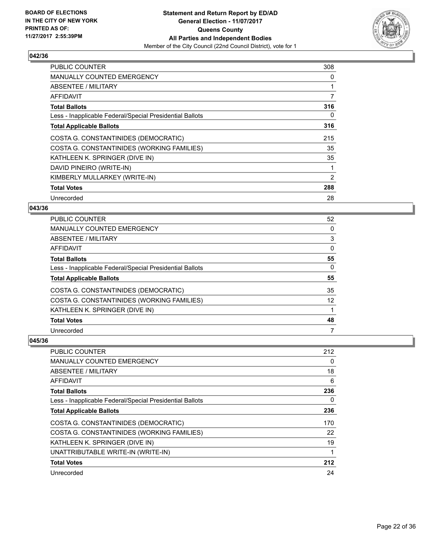

| <b>PUBLIC COUNTER</b>                                    | 308 |
|----------------------------------------------------------|-----|
| <b>MANUALLY COUNTED EMERGENCY</b>                        | 0   |
| ABSENTEE / MILITARY                                      |     |
| AFFIDAVIT                                                | 7   |
| <b>Total Ballots</b>                                     | 316 |
| Less - Inapplicable Federal/Special Presidential Ballots | 0   |
| <b>Total Applicable Ballots</b>                          | 316 |
| COSTA G. CONSTANTINIDES (DEMOCRATIC)                     | 215 |
| COSTA G. CONSTANTINIDES (WORKING FAMILIES)               | 35  |
| KATHLEEN K. SPRINGER (DIVE IN)                           | 35  |
| DAVID PINEIRO (WRITE-IN)                                 | 1   |
| KIMBERLY MULLARKEY (WRITE-IN)                            | 2   |
| <b>Total Votes</b>                                       | 288 |
| Unrecorded                                               | 28  |

#### **043/36**

| <b>PUBLIC COUNTER</b>                                    | 52 |
|----------------------------------------------------------|----|
| <b>MANUALLY COUNTED EMERGENCY</b>                        | 0  |
| ABSENTEE / MILITARY                                      | 3  |
| AFFIDAVIT                                                | 0  |
| <b>Total Ballots</b>                                     | 55 |
| Less - Inapplicable Federal/Special Presidential Ballots | 0  |
| <b>Total Applicable Ballots</b>                          | 55 |
| COSTA G. CONSTANTINIDES (DEMOCRATIC)                     | 35 |
| COSTA G. CONSTANTINIDES (WORKING FAMILIES)               | 12 |
| KATHLEEN K. SPRINGER (DIVE IN)                           |    |
| <b>Total Votes</b>                                       | 48 |
| Unrecorded                                               | 7  |

| PUBLIC COUNTER                                           | 212 |
|----------------------------------------------------------|-----|
| <b>MANUALLY COUNTED EMERGENCY</b>                        | 0   |
| ABSENTEE / MILITARY                                      | 18  |
| AFFIDAVIT                                                | 6   |
| <b>Total Ballots</b>                                     | 236 |
| Less - Inapplicable Federal/Special Presidential Ballots | 0   |
| <b>Total Applicable Ballots</b>                          | 236 |
| COSTA G. CONSTANTINIDES (DEMOCRATIC)                     | 170 |
| COSTA G. CONSTANTINIDES (WORKING FAMILIES)               | 22  |
| KATHLEEN K. SPRINGER (DIVE IN)                           | 19  |
| UNATTRIBUTABLE WRITE-IN (WRITE-IN)                       | 1   |
| <b>Total Votes</b>                                       | 212 |
| Unrecorded                                               | 24  |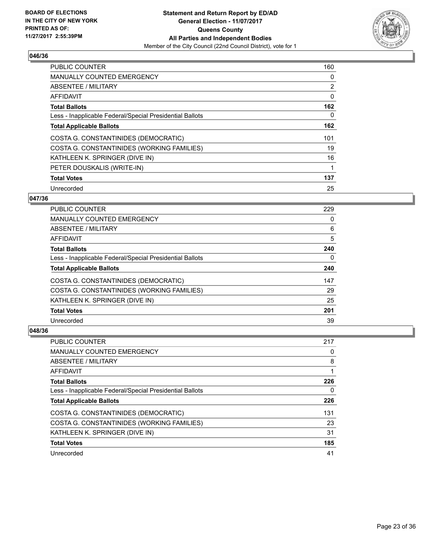

| <b>PUBLIC COUNTER</b>                                    | 160 |
|----------------------------------------------------------|-----|
| <b>MANUALLY COUNTED EMERGENCY</b>                        | 0   |
| ABSENTEE / MILITARY                                      | 2   |
| AFFIDAVIT                                                | 0   |
| <b>Total Ballots</b>                                     | 162 |
| Less - Inapplicable Federal/Special Presidential Ballots | 0   |
| <b>Total Applicable Ballots</b>                          | 162 |
| COSTA G. CONSTANTINIDES (DEMOCRATIC)                     | 101 |
| COSTA G. CONSTANTINIDES (WORKING FAMILIES)               | 19  |
| KATHLEEN K. SPRINGER (DIVE IN)                           | 16  |
| PETER DOUSKALIS (WRITE-IN)                               | 1   |
| <b>Total Votes</b>                                       | 137 |
| Unrecorded                                               | 25  |

## **047/36**

| <b>PUBLIC COUNTER</b>                                    | 229 |
|----------------------------------------------------------|-----|
| <b>MANUALLY COUNTED EMERGENCY</b>                        | 0   |
| ABSENTEE / MILITARY                                      | 6   |
| <b>AFFIDAVIT</b>                                         | 5   |
| <b>Total Ballots</b>                                     | 240 |
| Less - Inapplicable Federal/Special Presidential Ballots | 0   |
| <b>Total Applicable Ballots</b>                          | 240 |
| COSTA G. CONSTANTINIDES (DEMOCRATIC)                     | 147 |
| COSTA G. CONSTANTINIDES (WORKING FAMILIES)               | 29  |
| KATHLEEN K. SPRINGER (DIVE IN)                           | 25  |
| <b>Total Votes</b>                                       | 201 |
| Unrecorded                                               | 39  |

| <b>PUBLIC COUNTER</b>                                    | 217 |
|----------------------------------------------------------|-----|
| <b>MANUALLY COUNTED EMERGENCY</b>                        | 0   |
| ABSENTEE / MILITARY                                      | 8   |
| AFFIDAVIT                                                |     |
| <b>Total Ballots</b>                                     | 226 |
| Less - Inapplicable Federal/Special Presidential Ballots | 0   |
| <b>Total Applicable Ballots</b>                          | 226 |
| COSTA G. CONSTANTINIDES (DEMOCRATIC)                     | 131 |
| COSTA G. CONSTANTINIDES (WORKING FAMILIES)               | 23  |
| KATHLEEN K. SPRINGER (DIVE IN)                           | 31  |
| <b>Total Votes</b>                                       | 185 |
| Unrecorded                                               | 41  |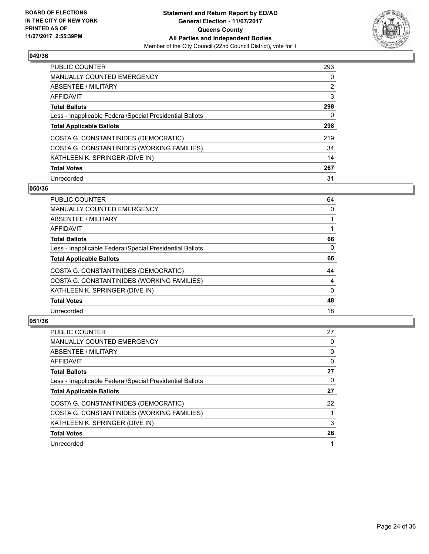

| PUBLIC COUNTER                                           | 293            |
|----------------------------------------------------------|----------------|
| <b>MANUALLY COUNTED EMERGENCY</b>                        | 0              |
| ABSENTEE / MILITARY                                      | $\overline{2}$ |
| AFFIDAVIT                                                | 3              |
| <b>Total Ballots</b>                                     | 298            |
| Less - Inapplicable Federal/Special Presidential Ballots | 0              |
| <b>Total Applicable Ballots</b>                          | 298            |
| COSTA G. CONSTANTINIDES (DEMOCRATIC)                     | 219            |
| COSTA G. CONSTANTINIDES (WORKING FAMILIES)               | 34             |
| KATHLEEN K. SPRINGER (DIVE IN)                           | 14             |
| <b>Total Votes</b>                                       | 267            |
| Unrecorded                                               | 31             |

#### **050/36**

| <b>PUBLIC COUNTER</b>                                    | 64       |
|----------------------------------------------------------|----------|
| <b>MANUALLY COUNTED EMERGENCY</b>                        | 0        |
| ABSENTEE / MILITARY                                      |          |
| AFFIDAVIT                                                |          |
| <b>Total Ballots</b>                                     | 66       |
| Less - Inapplicable Federal/Special Presidential Ballots | $\Omega$ |
| <b>Total Applicable Ballots</b>                          | 66       |
| COSTA G. CONSTANTINIDES (DEMOCRATIC)                     | 44       |
| COSTA G. CONSTANTINIDES (WORKING FAMILIES)               | 4        |
| KATHLEEN K. SPRINGER (DIVE IN)                           | $\Omega$ |
| <b>Total Votes</b>                                       | 48       |
| Unrecorded                                               | 18       |

| PUBLIC COUNTER                                           | 27 |
|----------------------------------------------------------|----|
| <b>MANUALLY COUNTED EMERGENCY</b>                        | 0  |
| ABSENTEE / MILITARY                                      | 0  |
| AFFIDAVIT                                                | 0  |
| <b>Total Ballots</b>                                     | 27 |
| Less - Inapplicable Federal/Special Presidential Ballots | 0  |
| <b>Total Applicable Ballots</b>                          | 27 |
| COSTA G. CONSTANTINIDES (DEMOCRATIC)                     | 22 |
| COSTA G. CONSTANTINIDES (WORKING FAMILIES)               |    |
| KATHLEEN K. SPRINGER (DIVE IN)                           | 3  |
| <b>Total Votes</b>                                       | 26 |
| Unrecorded                                               |    |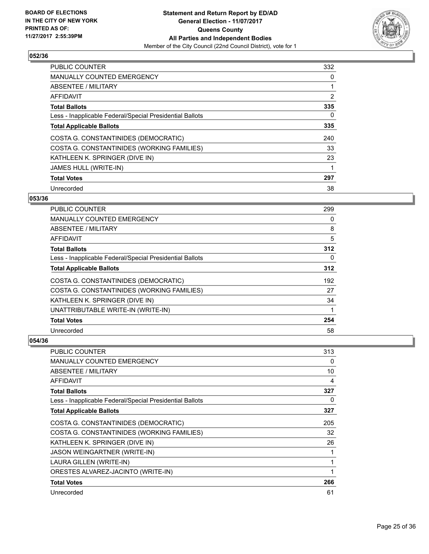

| <b>PUBLIC COUNTER</b>                                    | 332 |
|----------------------------------------------------------|-----|
| <b>MANUALLY COUNTED EMERGENCY</b>                        | 0   |
| ABSENTEE / MILITARY                                      | 1   |
| AFFIDAVIT                                                | 2   |
| <b>Total Ballots</b>                                     | 335 |
| Less - Inapplicable Federal/Special Presidential Ballots | 0   |
| <b>Total Applicable Ballots</b>                          | 335 |
| COSTA G. CONSTANTINIDES (DEMOCRATIC)                     | 240 |
| COSTA G. CONSTANTINIDES (WORKING FAMILIES)               | 33  |
| KATHLEEN K. SPRINGER (DIVE IN)                           | 23  |
| <b>JAMES HULL (WRITE-IN)</b>                             |     |
| <b>Total Votes</b>                                       | 297 |
| Unrecorded                                               | 38  |

## **053/36**

| <b>PUBLIC COUNTER</b>                                    | 299 |
|----------------------------------------------------------|-----|
| <b>MANUALLY COUNTED EMERGENCY</b>                        | 0   |
| ABSENTEE / MILITARY                                      | 8   |
| AFFIDAVIT                                                | 5   |
| <b>Total Ballots</b>                                     | 312 |
| Less - Inapplicable Federal/Special Presidential Ballots | 0   |
| <b>Total Applicable Ballots</b>                          | 312 |
| COSTA G. CONSTANTINIDES (DEMOCRATIC)                     | 192 |
| COSTA G. CONSTANTINIDES (WORKING FAMILIES)               | 27  |
| KATHLEEN K. SPRINGER (DIVE IN)                           | 34  |
| UNATTRIBUTABLE WRITE-IN (WRITE-IN)                       |     |
| <b>Total Votes</b>                                       | 254 |
| Unrecorded                                               | 58  |

| <b>PUBLIC COUNTER</b>                                    | 313 |
|----------------------------------------------------------|-----|
| <b>MANUALLY COUNTED EMERGENCY</b>                        | 0   |
| <b>ABSENTEE / MILITARY</b>                               | 10  |
| AFFIDAVIT                                                | 4   |
| <b>Total Ballots</b>                                     | 327 |
| Less - Inapplicable Federal/Special Presidential Ballots | 0   |
| <b>Total Applicable Ballots</b>                          | 327 |
| COSTA G. CONSTANTINIDES (DEMOCRATIC)                     | 205 |
| COSTA G. CONSTANTINIDES (WORKING FAMILIES)               | 32  |
| KATHLEEN K. SPRINGER (DIVE IN)                           | 26  |
| JASON WEINGARTNER (WRITE-IN)                             |     |
| LAURA GILLEN (WRITE-IN)                                  | 1   |
| ORESTES ALVAREZ-JACINTO (WRITE-IN)                       |     |
| <b>Total Votes</b>                                       | 266 |
| Unrecorded                                               | 61  |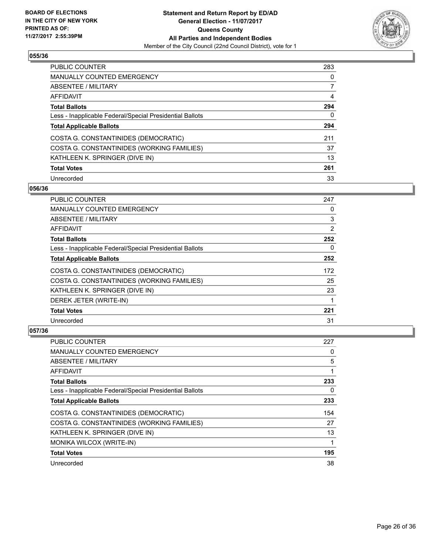

| PUBLIC COUNTER                                           | 283 |
|----------------------------------------------------------|-----|
| <b>MANUALLY COUNTED EMERGENCY</b>                        | 0   |
| ABSENTEE / MILITARY                                      |     |
| AFFIDAVIT                                                | 4   |
| <b>Total Ballots</b>                                     | 294 |
| Less - Inapplicable Federal/Special Presidential Ballots | 0   |
| <b>Total Applicable Ballots</b>                          | 294 |
| COSTA G. CONSTANTINIDES (DEMOCRATIC)                     | 211 |
| COSTA G. CONSTANTINIDES (WORKING FAMILIES)               | 37  |
| KATHLEEN K. SPRINGER (DIVE IN)                           | 13  |
| <b>Total Votes</b>                                       | 261 |
| Unrecorded                                               | 33  |

#### **056/36**

| <b>PUBLIC COUNTER</b>                                    | 247 |
|----------------------------------------------------------|-----|
| <b>MANUALLY COUNTED EMERGENCY</b>                        | 0   |
| ABSENTEE / MILITARY                                      | 3   |
| AFFIDAVIT                                                | 2   |
| <b>Total Ballots</b>                                     | 252 |
| Less - Inapplicable Federal/Special Presidential Ballots | 0   |
| <b>Total Applicable Ballots</b>                          | 252 |
| COSTA G. CONSTANTINIDES (DEMOCRATIC)                     | 172 |
| COSTA G. CONSTANTINIDES (WORKING FAMILIES)               | 25  |
| KATHLEEN K. SPRINGER (DIVE IN)                           | 23  |
| DEREK JETER (WRITE-IN)                                   | 1   |
| <b>Total Votes</b>                                       | 221 |
| Unrecorded                                               | 31  |

| <b>PUBLIC COUNTER</b>                                    | 227 |
|----------------------------------------------------------|-----|
| <b>MANUALLY COUNTED EMERGENCY</b>                        | 0   |
| ABSENTEE / MILITARY                                      | 5   |
| AFFIDAVIT                                                |     |
| <b>Total Ballots</b>                                     | 233 |
| Less - Inapplicable Federal/Special Presidential Ballots | 0   |
| <b>Total Applicable Ballots</b>                          | 233 |
| COSTA G. CONSTANTINIDES (DEMOCRATIC)                     | 154 |
| COSTA G. CONSTANTINIDES (WORKING FAMILIES)               | 27  |
| KATHLEEN K. SPRINGER (DIVE IN)                           | 13  |
| MONIKA WILCOX (WRITE-IN)                                 |     |
| <b>Total Votes</b>                                       | 195 |
| Unrecorded                                               | 38  |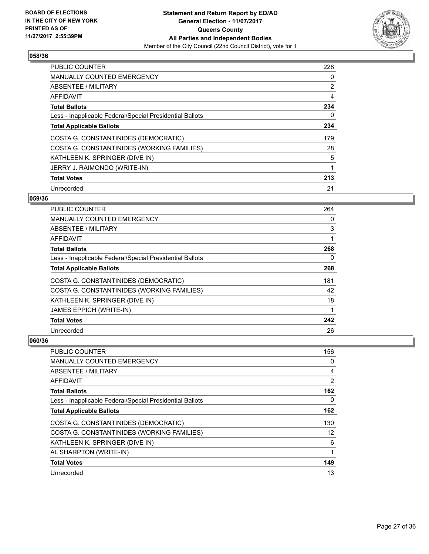

| <b>PUBLIC COUNTER</b>                                    | 228 |
|----------------------------------------------------------|-----|
| <b>MANUALLY COUNTED EMERGENCY</b>                        | 0   |
| ABSENTEE / MILITARY                                      | 2   |
| AFFIDAVIT                                                | 4   |
| <b>Total Ballots</b>                                     | 234 |
| Less - Inapplicable Federal/Special Presidential Ballots | 0   |
| <b>Total Applicable Ballots</b>                          | 234 |
| COSTA G. CONSTANTINIDES (DEMOCRATIC)                     | 179 |
| COSTA G. CONSTANTINIDES (WORKING FAMILIES)               | 28  |
| KATHLEEN K. SPRINGER (DIVE IN)                           | 5   |
| JERRY J. RAIMONDO (WRITE-IN)                             | 1   |
| <b>Total Votes</b>                                       | 213 |
| Unrecorded                                               | 21  |

## **059/36**

| <b>PUBLIC COUNTER</b>                                    | 264 |
|----------------------------------------------------------|-----|
| MANUALLY COUNTED EMERGENCY                               | 0   |
| ABSENTEE / MILITARY                                      | 3   |
| AFFIDAVIT                                                | 1   |
| <b>Total Ballots</b>                                     | 268 |
| Less - Inapplicable Federal/Special Presidential Ballots | 0   |
| <b>Total Applicable Ballots</b>                          | 268 |
| COSTA G. CONSTANTINIDES (DEMOCRATIC)                     | 181 |
| COSTA G. CONSTANTINIDES (WORKING FAMILIES)               | 42  |
| KATHLEEN K. SPRINGER (DIVE IN)                           | 18  |
| <b>JAMES EPPICH (WRITE-IN)</b>                           | 1   |
| <b>Total Votes</b>                                       | 242 |
| Unrecorded                                               | 26  |

| PUBLIC COUNTER                                           | 156 |
|----------------------------------------------------------|-----|
| <b>MANUALLY COUNTED EMERGENCY</b>                        | 0   |
| ABSENTEE / MILITARY                                      | 4   |
| AFFIDAVIT                                                | 2   |
| <b>Total Ballots</b>                                     | 162 |
| Less - Inapplicable Federal/Special Presidential Ballots | 0   |
| <b>Total Applicable Ballots</b>                          | 162 |
| COSTA G. CONSTANTINIDES (DEMOCRATIC)                     | 130 |
| COSTA G. CONSTANTINIDES (WORKING FAMILIES)               | 12  |
| KATHLEEN K. SPRINGER (DIVE IN)                           | 6   |
| AL SHARPTON (WRITE-IN)                                   | 1   |
| <b>Total Votes</b>                                       | 149 |
| Unrecorded                                               | 13  |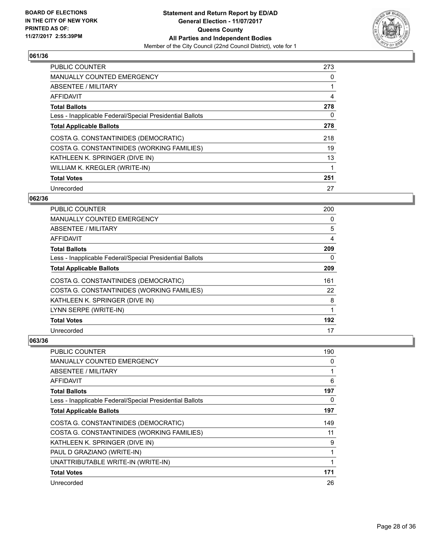

| <b>PUBLIC COUNTER</b>                                    | 273 |
|----------------------------------------------------------|-----|
| <b>MANUALLY COUNTED EMERGENCY</b>                        | 0   |
| ABSENTEE / MILITARY                                      |     |
| <b>AFFIDAVIT</b>                                         | 4   |
| <b>Total Ballots</b>                                     | 278 |
| Less - Inapplicable Federal/Special Presidential Ballots | 0   |
| <b>Total Applicable Ballots</b>                          | 278 |
| COSTA G. CONSTANTINIDES (DEMOCRATIC)                     | 218 |
| COSTA G. CONSTANTINIDES (WORKING FAMILIES)               | 19  |
| KATHLEEN K. SPRINGER (DIVE IN)                           | 13  |
| WILLIAM K. KREGLER (WRITE-IN)                            |     |
| <b>Total Votes</b>                                       | 251 |
| Unrecorded                                               | 27  |

## **062/36**

| <b>PUBLIC COUNTER</b>                                    | 200 |
|----------------------------------------------------------|-----|
| <b>MANUALLY COUNTED EMERGENCY</b>                        | 0   |
| ABSENTEE / MILITARY                                      | 5   |
| AFFIDAVIT                                                | 4   |
| <b>Total Ballots</b>                                     | 209 |
| Less - Inapplicable Federal/Special Presidential Ballots | 0   |
| <b>Total Applicable Ballots</b>                          | 209 |
| COSTA G. CONSTANTINIDES (DEMOCRATIC)                     | 161 |
| COSTA G. CONSTANTINIDES (WORKING FAMILIES)               | 22  |
| KATHLEEN K. SPRINGER (DIVE IN)                           | 8   |
| LYNN SERPE (WRITE-IN)                                    | 1   |
| <b>Total Votes</b>                                       | 192 |
| Unrecorded                                               | 17  |

| PUBLIC COUNTER                                           | 190 |
|----------------------------------------------------------|-----|
| MANUALLY COUNTED EMERGENCY                               | 0   |
| ABSENTEE / MILITARY                                      |     |
| AFFIDAVIT                                                | 6   |
| <b>Total Ballots</b>                                     | 197 |
| Less - Inapplicable Federal/Special Presidential Ballots | 0   |
| <b>Total Applicable Ballots</b>                          | 197 |
| COSTA G. CONSTANTINIDES (DEMOCRATIC)                     | 149 |
| COSTA G. CONSTANTINIDES (WORKING FAMILIES)               | 11  |
| KATHLEEN K. SPRINGER (DIVE IN)                           | 9   |
| PAUL D GRAZIANO (WRITE-IN)                               |     |
| UNATTRIBUTABLE WRITE-IN (WRITE-IN)                       |     |
| <b>Total Votes</b>                                       | 171 |
| Unrecorded                                               | 26  |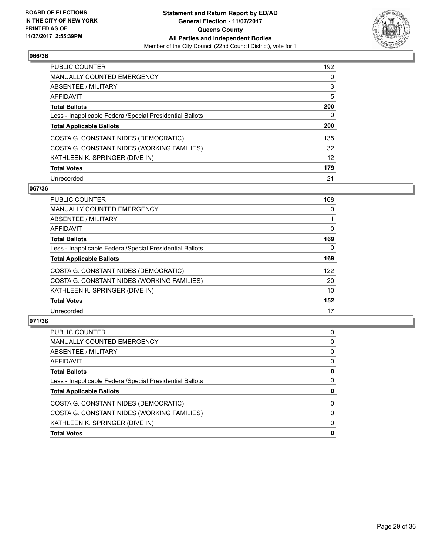

| <b>PUBLIC COUNTER</b>                                    | 192 |
|----------------------------------------------------------|-----|
| <b>MANUALLY COUNTED EMERGENCY</b>                        | 0   |
| ABSENTEE / MILITARY                                      | 3   |
| AFFIDAVIT                                                | 5   |
| <b>Total Ballots</b>                                     | 200 |
| Less - Inapplicable Federal/Special Presidential Ballots | 0   |
| <b>Total Applicable Ballots</b>                          | 200 |
| COSTA G. CONSTANTINIDES (DEMOCRATIC)                     | 135 |
| COSTA G. CONSTANTINIDES (WORKING FAMILIES)               | 32  |
| KATHLEEN K. SPRINGER (DIVE IN)                           | 12  |
| <b>Total Votes</b>                                       | 179 |
| Unrecorded                                               | 21  |

#### **067/36**

| <b>PUBLIC COUNTER</b>                                    | 168      |
|----------------------------------------------------------|----------|
| <b>MANUALLY COUNTED EMERGENCY</b>                        | 0        |
| ABSENTEE / MILITARY                                      |          |
| <b>AFFIDAVIT</b>                                         | 0        |
| <b>Total Ballots</b>                                     | 169      |
| Less - Inapplicable Federal/Special Presidential Ballots | $\Omega$ |
| <b>Total Applicable Ballots</b>                          | 169      |
| COSTA G. CONSTANTINIDES (DEMOCRATIC)                     | 122      |
| COSTA G. CONSTANTINIDES (WORKING FAMILIES)               | 20       |
| KATHLEEN K. SPRINGER (DIVE IN)                           | 10       |
| <b>Total Votes</b>                                       | 152      |
| Unrecorded                                               | 17       |

| 0<br>0<br>0<br>0<br>0<br>0<br>0<br>0<br>0<br>0 | PUBLIC COUNTER                                           | 0 |
|------------------------------------------------|----------------------------------------------------------|---|
|                                                | <b>MANUALLY COUNTED EMERGENCY</b>                        |   |
|                                                | ABSENTEE / MILITARY                                      |   |
|                                                | AFFIDAVIT                                                |   |
|                                                | <b>Total Ballots</b>                                     |   |
|                                                | Less - Inapplicable Federal/Special Presidential Ballots |   |
|                                                | <b>Total Applicable Ballots</b>                          |   |
|                                                | COSTA G. CONSTANTINIDES (DEMOCRATIC)                     |   |
|                                                | COSTA G. CONSTANTINIDES (WORKING FAMILIES)               |   |
|                                                | KATHLEEN K. SPRINGER (DIVE IN)                           |   |
|                                                | <b>Total Votes</b>                                       |   |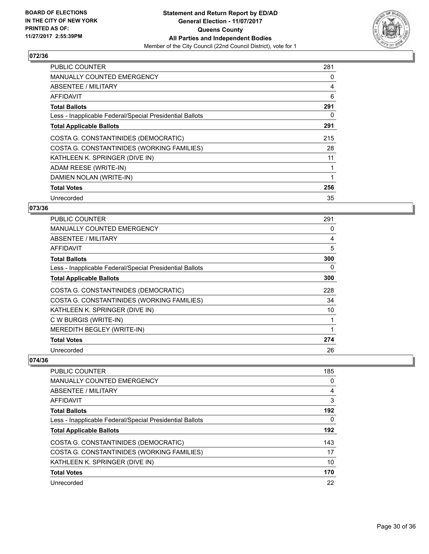

| <b>PUBLIC COUNTER</b>                                    | 281 |
|----------------------------------------------------------|-----|
| <b>MANUALLY COUNTED EMERGENCY</b>                        | 0   |
| ABSENTEE / MILITARY                                      | 4   |
| AFFIDAVIT                                                | 6   |
| <b>Total Ballots</b>                                     | 291 |
| Less - Inapplicable Federal/Special Presidential Ballots | 0   |
| <b>Total Applicable Ballots</b>                          | 291 |
| COSTA G. CONSTANTINIDES (DEMOCRATIC)                     | 215 |
| COSTA G. CONSTANTINIDES (WORKING FAMILIES)               | 28  |
| KATHLEEN K. SPRINGER (DIVE IN)                           | 11  |
| ADAM REESE (WRITE-IN)                                    |     |
| DAMIEN NOLAN (WRITE-IN)                                  |     |
| <b>Total Votes</b>                                       | 256 |
| Unrecorded                                               | 35  |

## **073/36**

| <b>PUBLIC COUNTER</b>                                    | 291 |
|----------------------------------------------------------|-----|
| <b>MANUALLY COUNTED EMERGENCY</b>                        | 0   |
| ABSENTEE / MILITARY                                      | 4   |
| AFFIDAVIT                                                | 5   |
| <b>Total Ballots</b>                                     | 300 |
| Less - Inapplicable Federal/Special Presidential Ballots | 0   |
| <b>Total Applicable Ballots</b>                          | 300 |
| COSTA G. CONSTANTINIDES (DEMOCRATIC)                     | 228 |
| COSTA G. CONSTANTINIDES (WORKING FAMILIES)               | 34  |
| KATHLEEN K. SPRINGER (DIVE IN)                           | 10  |
| C W BURGIS (WRITE-IN)                                    |     |
| MEREDITH BEGLEY (WRITE-IN)                               |     |
| <b>Total Votes</b>                                       | 274 |
| Unrecorded                                               | 26  |

| PUBLIC COUNTER                                           | 185 |
|----------------------------------------------------------|-----|
| <b>MANUALLY COUNTED EMERGENCY</b>                        | 0   |
| ABSENTEE / MILITARY                                      | 4   |
| AFFIDAVIT                                                | 3   |
| <b>Total Ballots</b>                                     | 192 |
| Less - Inapplicable Federal/Special Presidential Ballots | 0   |
| <b>Total Applicable Ballots</b>                          | 192 |
| COSTA G. CONSTANTINIDES (DEMOCRATIC)                     | 143 |
| COSTA G. CONSTANTINIDES (WORKING FAMILIES)               | 17  |
| KATHLEEN K. SPRINGER (DIVE IN)                           | 10  |
| <b>Total Votes</b>                                       | 170 |
| Unrecorded                                               | 22  |
|                                                          |     |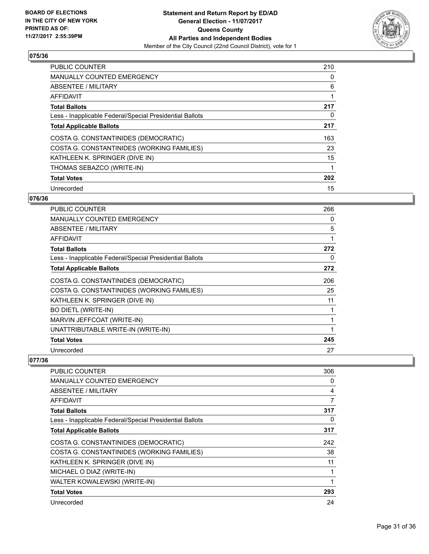

| <b>PUBLIC COUNTER</b>                                    | 210 |
|----------------------------------------------------------|-----|
| <b>MANUALLY COUNTED EMERGENCY</b>                        | 0   |
| ABSENTEE / MILITARY                                      | 6   |
| AFFIDAVIT                                                |     |
| <b>Total Ballots</b>                                     | 217 |
| Less - Inapplicable Federal/Special Presidential Ballots | 0   |
| <b>Total Applicable Ballots</b>                          | 217 |
| COSTA G. CONSTANTINIDES (DEMOCRATIC)                     | 163 |
| COSTA G. CONSTANTINIDES (WORKING FAMILIES)               | 23  |
| KATHLEEN K. SPRINGER (DIVE IN)                           | 15  |
| THOMAS SEBAZCO (WRITE-IN)                                |     |
| <b>Total Votes</b>                                       | 202 |
| Unrecorded                                               | 15  |

## **076/36**

| <b>PUBLIC COUNTER</b>                                    | 266 |
|----------------------------------------------------------|-----|
| <b>MANUALLY COUNTED EMERGENCY</b>                        | 0   |
| <b>ABSENTEE / MILITARY</b>                               | 5   |
| AFFIDAVIT                                                | 1   |
| <b>Total Ballots</b>                                     | 272 |
| Less - Inapplicable Federal/Special Presidential Ballots | 0   |
| <b>Total Applicable Ballots</b>                          | 272 |
| COSTA G. CONSTANTINIDES (DEMOCRATIC)                     | 206 |
| COSTA G. CONSTANTINIDES (WORKING FAMILIES)               | 25  |
| KATHLEEN K. SPRINGER (DIVE IN)                           | 11  |
| <b>BO DIETL (WRITE-IN)</b>                               | 1   |
| MARVIN JEFFCOAT (WRITE-IN)                               | 1   |
| UNATTRIBUTABLE WRITE-IN (WRITE-IN)                       | 1   |
| <b>Total Votes</b>                                       | 245 |
| Unrecorded                                               | 27  |

| <b>PUBLIC COUNTER</b>                                    | 306 |
|----------------------------------------------------------|-----|
| <b>MANUALLY COUNTED EMERGENCY</b>                        | 0   |
| <b>ABSENTEE / MILITARY</b>                               | 4   |
| AFFIDAVIT                                                | 7   |
| <b>Total Ballots</b>                                     | 317 |
| Less - Inapplicable Federal/Special Presidential Ballots | 0   |
| <b>Total Applicable Ballots</b>                          | 317 |
| COSTA G. CONSTANTINIDES (DEMOCRATIC)                     | 242 |
| COSTA G. CONSTANTINIDES (WORKING FAMILIES)               | 38  |
| KATHLEEN K. SPRINGER (DIVE IN)                           | 11  |
| MICHAEL O DIAZ (WRITE-IN)                                |     |
| WALTER KOWALEWSKI (WRITE-IN)                             |     |
| <b>Total Votes</b>                                       | 293 |
| Unrecorded                                               | 24  |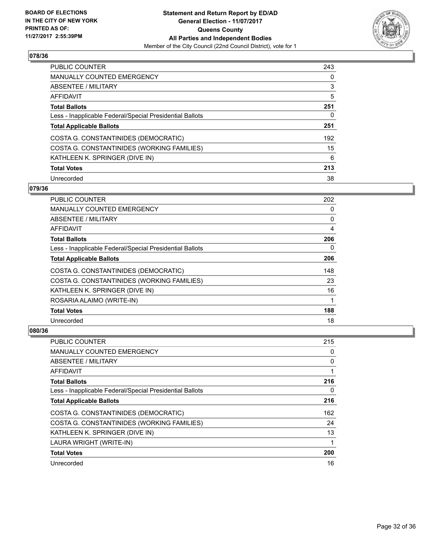

| <b>PUBLIC COUNTER</b>                                    | 243 |
|----------------------------------------------------------|-----|
| <b>MANUALLY COUNTED EMERGENCY</b>                        | 0   |
| ABSENTEE / MILITARY                                      | 3   |
| AFFIDAVIT                                                | 5   |
| <b>Total Ballots</b>                                     | 251 |
| Less - Inapplicable Federal/Special Presidential Ballots | 0   |
| <b>Total Applicable Ballots</b>                          | 251 |
| COSTA G. CONSTANTINIDES (DEMOCRATIC)                     | 192 |
| COSTA G. CONSTANTINIDES (WORKING FAMILIES)               | 15  |
| KATHLEEN K. SPRINGER (DIVE IN)                           | 6   |
| <b>Total Votes</b>                                       | 213 |
| Unrecorded                                               | 38  |

#### **079/36**

| <b>PUBLIC COUNTER</b>                                    | 202 |
|----------------------------------------------------------|-----|
| <b>MANUALLY COUNTED EMERGENCY</b>                        | 0   |
| ABSENTEE / MILITARY                                      | 0   |
| AFFIDAVIT                                                | 4   |
| <b>Total Ballots</b>                                     | 206 |
| Less - Inapplicable Federal/Special Presidential Ballots | 0   |
| <b>Total Applicable Ballots</b>                          | 206 |
| COSTA G. CONSTANTINIDES (DEMOCRATIC)                     | 148 |
| COSTA G. CONSTANTINIDES (WORKING FAMILIES)               | 23  |
| KATHLEEN K. SPRINGER (DIVE IN)                           | 16  |
| ROSARIA ALAIMO (WRITE-IN)                                | 1   |
| <b>Total Votes</b>                                       | 188 |
| Unrecorded                                               | 18  |

| <b>PUBLIC COUNTER</b>                                    | 215 |
|----------------------------------------------------------|-----|
| MANUALLY COUNTED EMERGENCY                               | 0   |
| ABSENTEE / MILITARY                                      | 0   |
| AFFIDAVIT                                                |     |
| <b>Total Ballots</b>                                     | 216 |
| Less - Inapplicable Federal/Special Presidential Ballots | 0   |
| <b>Total Applicable Ballots</b>                          | 216 |
| COSTA G. CONSTANTINIDES (DEMOCRATIC)                     | 162 |
| COSTA G. CONSTANTINIDES (WORKING FAMILIES)               | 24  |
| KATHLEEN K. SPRINGER (DIVE IN)                           | 13  |
| LAURA WRIGHT (WRITE-IN)                                  |     |
| <b>Total Votes</b>                                       | 200 |
| Unrecorded                                               | 16  |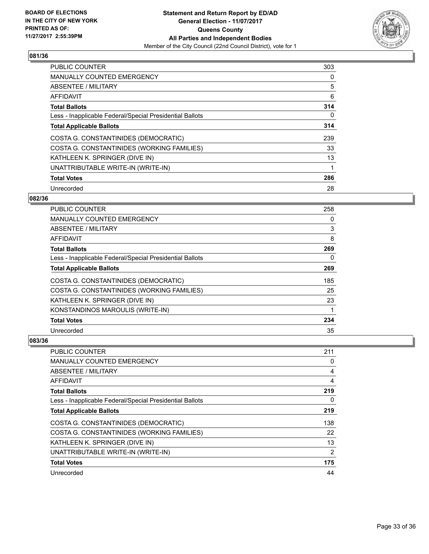

| <b>PUBLIC COUNTER</b>                                    | 303 |
|----------------------------------------------------------|-----|
| <b>MANUALLY COUNTED EMERGENCY</b>                        | 0   |
| ABSENTEE / MILITARY                                      | 5   |
| AFFIDAVIT                                                | 6   |
| <b>Total Ballots</b>                                     | 314 |
| Less - Inapplicable Federal/Special Presidential Ballots | 0   |
| <b>Total Applicable Ballots</b>                          | 314 |
| COSTA G. CONSTANTINIDES (DEMOCRATIC)                     | 239 |
| COSTA G. CONSTANTINIDES (WORKING FAMILIES)               | 33  |
| KATHLEEN K. SPRINGER (DIVE IN)                           | 13  |
| UNATTRIBUTABLE WRITE-IN (WRITE-IN)                       | 1   |
| <b>Total Votes</b>                                       | 286 |
| Unrecorded                                               | 28  |

## **082/36**

| PUBLIC COUNTER                                           | 258 |
|----------------------------------------------------------|-----|
| MANUALLY COUNTED EMERGENCY                               | 0   |
| ABSENTEE / MILITARY                                      | 3   |
| AFFIDAVIT                                                | 8   |
| <b>Total Ballots</b>                                     | 269 |
| Less - Inapplicable Federal/Special Presidential Ballots | 0   |
| <b>Total Applicable Ballots</b>                          | 269 |
| COSTA G. CONSTANTINIDES (DEMOCRATIC)                     | 185 |
| COSTA G. CONSTANTINIDES (WORKING FAMILIES)               | 25  |
| KATHLEEN K. SPRINGER (DIVE IN)                           | 23  |
| KONSTANDINOS MAROULIS (WRITE-IN)                         |     |
| <b>Total Votes</b>                                       | 234 |
| Unrecorded                                               | 35  |

| <b>PUBLIC COUNTER</b>                                    | 211            |
|----------------------------------------------------------|----------------|
| <b>MANUALLY COUNTED EMERGENCY</b>                        | 0              |
| ABSENTEE / MILITARY                                      | 4              |
| AFFIDAVIT                                                | 4              |
| <b>Total Ballots</b>                                     | 219            |
| Less - Inapplicable Federal/Special Presidential Ballots | 0              |
| <b>Total Applicable Ballots</b>                          | 219            |
| COSTA G. CONSTANTINIDES (DEMOCRATIC)                     | 138            |
| COSTA G. CONSTANTINIDES (WORKING FAMILIES)               | 22             |
| KATHLEEN K. SPRINGER (DIVE IN)                           | 13             |
| UNATTRIBUTABLE WRITE-IN (WRITE-IN)                       | $\overline{2}$ |
| <b>Total Votes</b>                                       | 175            |
| Unrecorded                                               | 44             |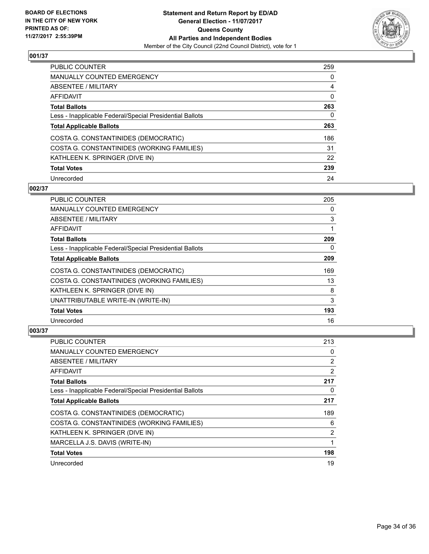

| PUBLIC COUNTER                                           | 259 |
|----------------------------------------------------------|-----|
| <b>MANUALLY COUNTED EMERGENCY</b>                        | 0   |
| ABSENTEE / MILITARY                                      | 4   |
| AFFIDAVIT                                                | 0   |
| <b>Total Ballots</b>                                     | 263 |
| Less - Inapplicable Federal/Special Presidential Ballots | 0   |
| <b>Total Applicable Ballots</b>                          | 263 |
| COSTA G. CONSTANTINIDES (DEMOCRATIC)                     | 186 |
| COSTA G. CONSTANTINIDES (WORKING FAMILIES)               | 31  |
| KATHLEEN K. SPRINGER (DIVE IN)                           | 22  |
| <b>Total Votes</b>                                       | 239 |
| Unrecorded                                               | 24  |

# **002/37**

| <b>PUBLIC COUNTER</b>                                    | 205 |
|----------------------------------------------------------|-----|
| <b>MANUALLY COUNTED EMERGENCY</b>                        | 0   |
| ABSENTEE / MILITARY                                      | 3   |
| AFFIDAVIT                                                | 1   |
| <b>Total Ballots</b>                                     | 209 |
| Less - Inapplicable Federal/Special Presidential Ballots | 0   |
| <b>Total Applicable Ballots</b>                          | 209 |
| COSTA G. CONSTANTINIDES (DEMOCRATIC)                     | 169 |
| COSTA G. CONSTANTINIDES (WORKING FAMILIES)               | 13  |
| KATHLEEN K. SPRINGER (DIVE IN)                           | 8   |
| UNATTRIBUTABLE WRITE-IN (WRITE-IN)                       | 3   |
| <b>Total Votes</b>                                       | 193 |
| Unrecorded                                               | 16  |

| PUBLIC COUNTER                                           | 213 |
|----------------------------------------------------------|-----|
| MANUALLY COUNTED EMERGENCY                               | 0   |
| ABSENTEE / MILITARY                                      | 2   |
| AFFIDAVIT                                                | 2   |
| <b>Total Ballots</b>                                     | 217 |
| Less - Inapplicable Federal/Special Presidential Ballots | 0   |
| <b>Total Applicable Ballots</b>                          | 217 |
| COSTA G. CONSTANTINIDES (DEMOCRATIC)                     | 189 |
| COSTA G. CONSTANTINIDES (WORKING FAMILIES)               | 6   |
| KATHLEEN K. SPRINGER (DIVE IN)                           | 2   |
| MARCELLA J.S. DAVIS (WRITE-IN)                           | 1   |
| <b>Total Votes</b>                                       | 198 |
| Unrecorded                                               | 19  |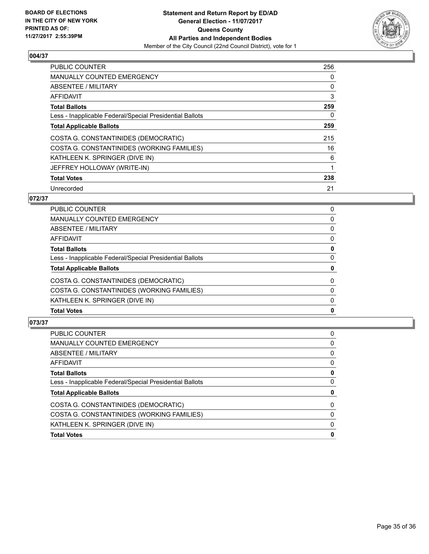

| <b>PUBLIC COUNTER</b>                                    | 256 |
|----------------------------------------------------------|-----|
| MANUALLY COUNTED EMERGENCY                               | 0   |
| ABSENTEE / MILITARY                                      | 0   |
| AFFIDAVIT                                                | 3   |
| <b>Total Ballots</b>                                     | 259 |
| Less - Inapplicable Federal/Special Presidential Ballots | 0   |
| <b>Total Applicable Ballots</b>                          | 259 |
| COSTA G. CONSTANTINIDES (DEMOCRATIC)                     | 215 |
| COSTA G. CONSTANTINIDES (WORKING FAMILIES)               | 16  |
| KATHLEEN K. SPRINGER (DIVE IN)                           | 6   |
| JEFFREY HOLLOWAY (WRITE-IN)                              |     |
| <b>Total Votes</b>                                       | 238 |
| Unrecorded                                               | 21  |

# **072/37**

| <b>Total Votes</b>                                       | 0        |
|----------------------------------------------------------|----------|
| KATHLEEN K. SPRINGER (DIVE IN)                           | $\Omega$ |
| COSTA G. CONSTANTINIDES (WORKING FAMILIES)               | $\Omega$ |
| COSTA G. CONSTANTINIDES (DEMOCRATIC)                     | 0        |
| <b>Total Applicable Ballots</b>                          | 0        |
| Less - Inapplicable Federal/Special Presidential Ballots | 0        |
| <b>Total Ballots</b>                                     | 0        |
| <b>AFFIDAVIT</b>                                         | 0        |
| <b>ABSENTEE / MILITARY</b>                               | 0        |
| <b>MANUALLY COUNTED EMERGENCY</b>                        | 0        |
| <b>PUBLIC COUNTER</b>                                    | 0        |

| <b>PUBLIC COUNTER</b>                                    | 0 |
|----------------------------------------------------------|---|
| <b>MANUALLY COUNTED EMERGENCY</b>                        | 0 |
| ABSENTEE / MILITARY                                      | 0 |
| AFFIDAVIT                                                | 0 |
| <b>Total Ballots</b>                                     | 0 |
| Less - Inapplicable Federal/Special Presidential Ballots | 0 |
| <b>Total Applicable Ballots</b>                          | 0 |
| COSTA G. CONSTANTINIDES (DEMOCRATIC)                     | 0 |
| COSTA G. CONSTANTINIDES (WORKING FAMILIES)               | 0 |
| KATHLEEN K. SPRINGER (DIVE IN)                           | 0 |
| <b>Total Votes</b>                                       | 0 |